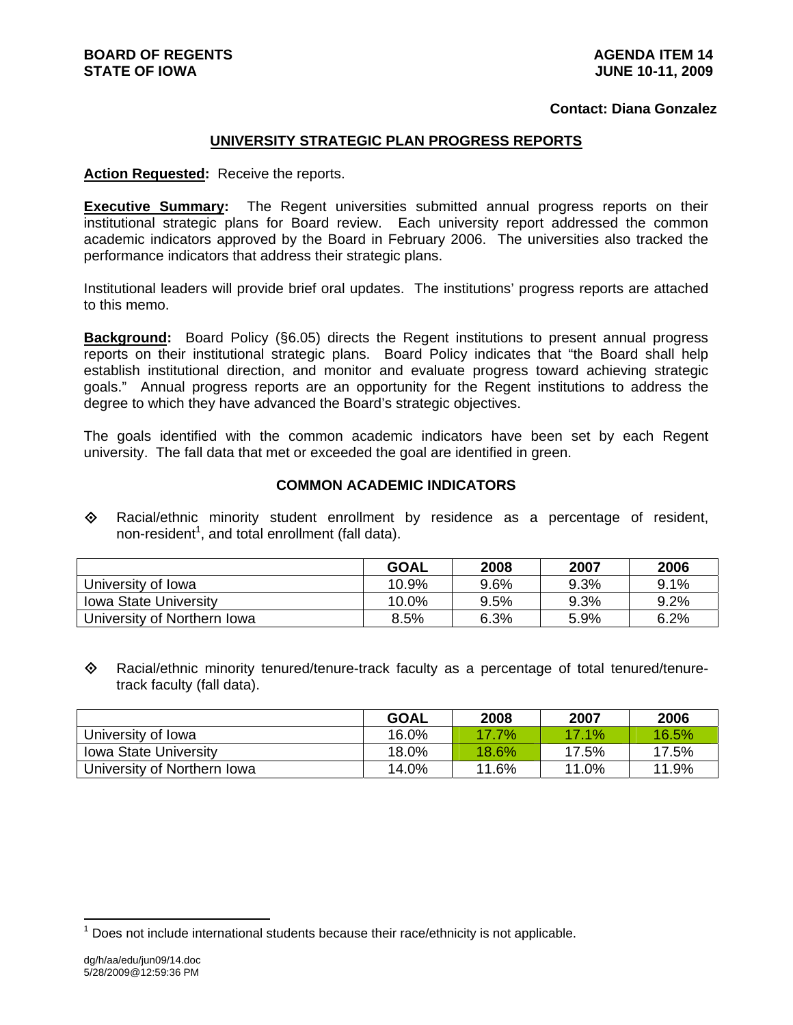## **Contact: Diana Gonzalez**

## **UNIVERSITY STRATEGIC PLAN PROGRESS REPORTS**

## **Action Requested:** Receive the reports.

**Executive Summary:** The Regent universities submitted annual progress reports on their institutional strategic plans for Board review. Each university report addressed the common academic indicators approved by the Board in February 2006. The universities also tracked the performance indicators that address their strategic plans.

Institutional leaders will provide brief oral updates. The institutions' progress reports are attached to this memo.

**Background:** Board Policy (§6.05) directs the Regent institutions to present annual progress reports on their institutional strategic plans. Board Policy indicates that "the Board shall help establish institutional direction, and monitor and evaluate progress toward achieving strategic goals." Annual progress reports are an opportunity for the Regent institutions to address the degree to which they have advanced the Board's strategic objectives.

The goals identified with the common academic indicators have been set by each Regent university. The fall data that met or exceeded the goal are identified in green.

## **COMMON ACADEMIC INDICATORS**

 Racial/ethnic minority student enrollment by residence as a percentage of resident, non-resident<sup>1</sup>, and total enrollment (fall data).

|                              | GOAL  | 2008 | 2007 | 2006 |
|------------------------------|-------|------|------|------|
| University of Iowa           | 10.9% | 9.6% | 9.3% | 9.1% |
| <b>Iowa State University</b> | 10.0% | 9.5% | 9.3% | 9.2% |
| University of Northern Iowa  | 8.5%  | 6.3% | 5.9% | 6.2% |

 $\diamond$  Racial/ethnic minority tenured/tenure-track faculty as a percentage of total tenured/tenuretrack faculty (fall data).

|                              | <b>GOAL</b> | 2008     | 2007  | 2006  |
|------------------------------|-------------|----------|-------|-------|
| University of Iowa           | 16.0%       | $17.7\%$ | 17.1% | 16.5% |
| <b>Iowa State University</b> | 18.0%       | 18.6%    | 17.5% | 17.5% |
| University of Northern Iowa  | 14.0%       | 11.6%    | 11.0% | 11.9% |

l

 $1$  Does not include international students because their race/ethnicity is not applicable.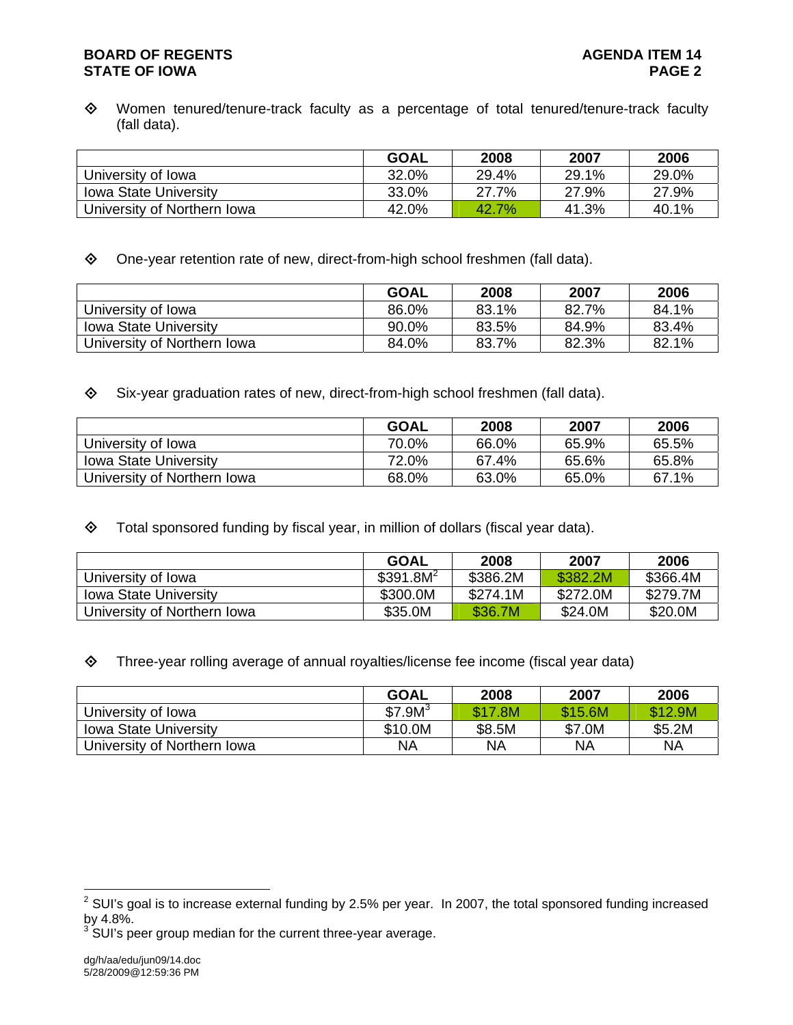## **BOARD OF REGENTS AGENUS AGENDA ITEM 14 STATE OF IOWA** PAGE 2

 Women tenured/tenure-track faculty as a percentage of total tenured/tenure-track faculty (fall data).

|                              | <b>GOAL</b> | 2008  | 2007  | 2006  |
|------------------------------|-------------|-------|-------|-------|
| University of Iowa           | 32.0%       | 29.4% | 29.1% | 29.0% |
| <b>Iowa State University</b> | 33.0%       | 27.7% | 27.9% | 27.9% |
| University of Northern Iowa  | 42.0%       | 42.7% | 41.3% | 40.1% |

One-year retention rate of new, direct-from-high school freshmen (fall data).

|                              | <b>GOAL</b> | 2008  | 2007  | 2006  |
|------------------------------|-------------|-------|-------|-------|
| University of Iowa           | 86.0%       | 83.1% | 82.7% | 84.1% |
| <b>Iowa State University</b> | 90.0%       | 83.5% | 84.9% | 83.4% |
| University of Northern Iowa  | 84.0%       | 83.7% | 82.3% | 82.1% |

Six-year graduation rates of new, direct-from-high school freshmen (fall data).

|                              | <b>GOAL</b> | 2008  | 2007  | 2006  |
|------------------------------|-------------|-------|-------|-------|
| University of Iowa           | 70.0%       | 66.0% | 65.9% | 65.5% |
| <b>Iowa State University</b> | 72.0%       | 67.4% | 65.6% | 65.8% |
| University of Northern Iowa  | 68.0%       | 63.0% | 65.0% | 67.1% |

 $\diamond$  Total sponsored funding by fiscal year, in million of dollars (fiscal year data).

|                              | <b>GOAL</b>           | 2008     | 2007     | 2006     |
|------------------------------|-----------------------|----------|----------|----------|
| University of Iowa           | \$391.8M <sup>2</sup> | \$386.2M | \$382.2M | \$366.4M |
| <b>Iowa State University</b> | \$300.0M              | \$274.1M | \$272.0M | \$279.7M |
| University of Northern Iowa  | \$35.0M               | \$36.7M  | \$24.0M  | \$20.0M  |

Three-year rolling average of annual royalties/license fee income (fiscal year data)

|                              | <b>GOAL</b>         | 2008    | 2007    | 2006    |
|------------------------------|---------------------|---------|---------|---------|
| University of Iowa           | \$7.9M <sup>3</sup> | \$17.8M | \$15.6M | \$12.9M |
| <b>Iowa State University</b> | \$10.0M             | \$8.5M  | \$7.0M  | \$5.2M  |
| University of Northern Iowa  | <b>NA</b>           | NA      | ΝA      | ΝA      |

 $3$  SUI's peer group median for the current three-year average.

 2 SUI's goal is to increase external funding by 2.5% per year. In 2007, the total sponsored funding increased by 4.8%.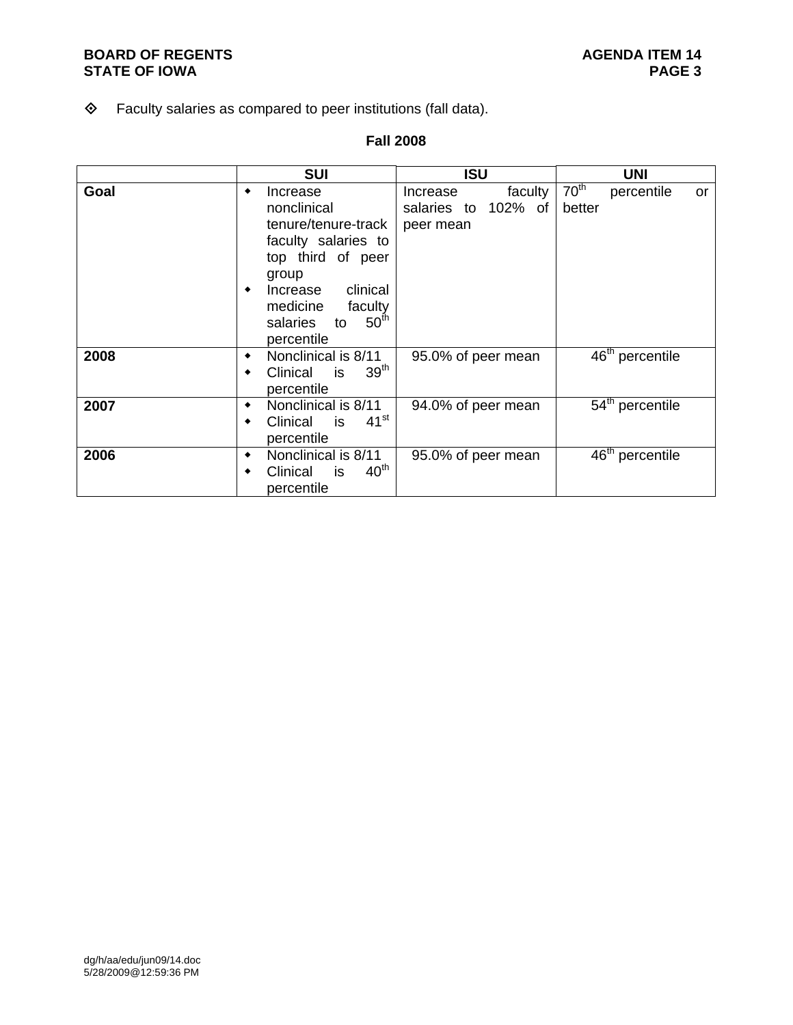## **BOARD OF REGENTS**<br> **BOARD OF REGENTS**<br> **BOARD OF IOWA**<br>
PAGE 3 **STATE OF IOWA**

## Faculty salaries as compared to peer institutions (fall data).

## **Fall 2008**

|      | <b>SUI</b>                                                                                                                                                                                                       | <b>ISU</b>                                                 | <b>UNI</b>                                     |
|------|------------------------------------------------------------------------------------------------------------------------------------------------------------------------------------------------------------------|------------------------------------------------------------|------------------------------------------------|
| Goal | Increase<br>٠<br>nonclinical<br>tenure/tenure-track<br>faculty salaries to<br>top third of peer<br>group<br>clinical<br>Increase<br>٠<br>medicine<br>faculty<br>50 <sup>th</sup><br>salaries<br>to<br>percentile | faculty<br>Increase<br>102% of<br>salaries to<br>peer mean | 70 <sup>th</sup><br>percentile<br>or<br>better |
| 2008 | Nonclinical is 8/11<br>٠<br>39 <sup>th</sup><br>Clinical<br>is<br>percentile                                                                                                                                     | 95.0% of peer mean                                         | 46 <sup>th</sup> percentile                    |
| 2007 | Nonclinical is 8/11<br>٠<br>$41^{\rm st}$<br>Clinical<br>is<br>٠<br>percentile                                                                                                                                   | 94.0% of peer mean                                         | 54 <sup>th</sup> percentile                    |
| 2006 | Nonclinical is 8/11<br>٠<br>40 <sup>th</sup><br>Clinical<br>is<br>percentile                                                                                                                                     | 95.0% of peer mean                                         | 46 <sup>th</sup> percentile                    |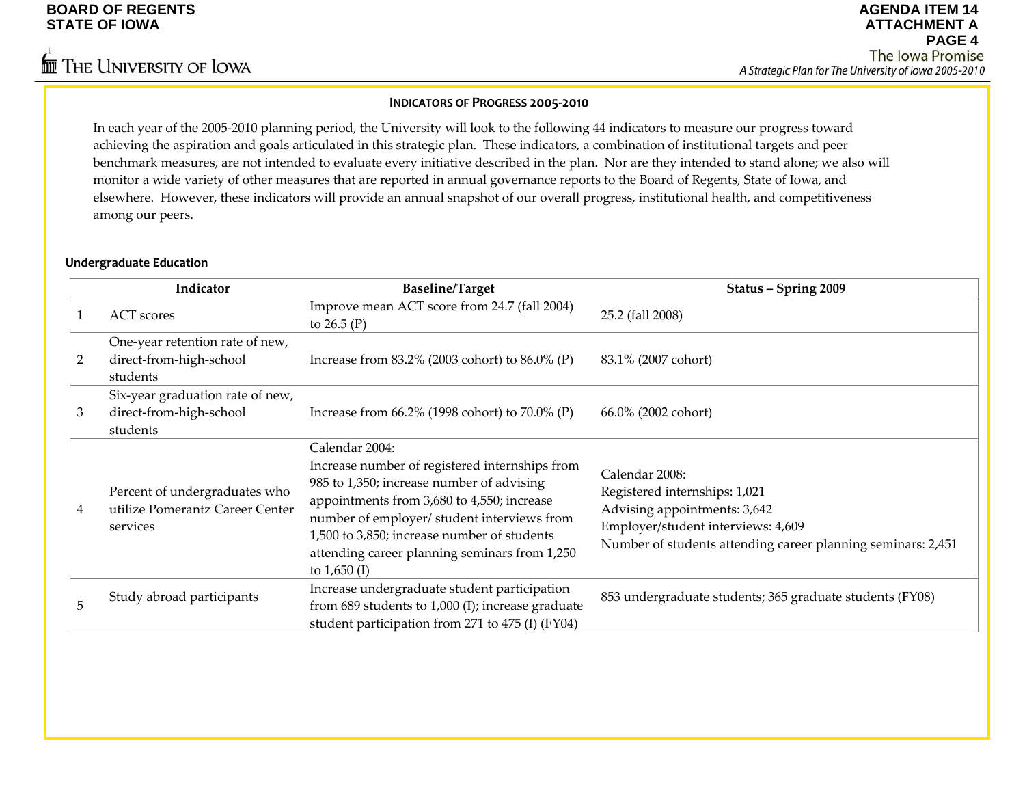## **INDICATORS OF PROGRESS 2005‐<sup>2010</sup>**

In each year of the 2005‐2010 planning period, the University will look to the following <sup>44</sup> indicators to measure our progress toward achieving the aspiration and goals articulated in this strategic plan. These indicators, <sup>a</sup> combination of institutional targets and peer benchmark measures, are not intended to evaluate every initiative described in the plan. Nor are they intended to stand alone; we also will monitor a wide variety of other measures that are reported in annual governance reports to the Board of Regents, State of Iowa, and elsewhere. However, these indicators will provide an annual snapshot of our overall progress, institutional health, and competitiveness among our peers.

### **Undergraduate Education**

|   | Indicator                                                                    | <b>Baseline/Target</b>                                                                                                                                                                                                                                                                                                       | Status - Spring 2009                                                                                                                                                                  |
|---|------------------------------------------------------------------------------|------------------------------------------------------------------------------------------------------------------------------------------------------------------------------------------------------------------------------------------------------------------------------------------------------------------------------|---------------------------------------------------------------------------------------------------------------------------------------------------------------------------------------|
|   | <b>ACT</b> scores                                                            | Improve mean ACT score from 24.7 (fall 2004)<br>to $26.5(P)$                                                                                                                                                                                                                                                                 | 25.2 (fall 2008)                                                                                                                                                                      |
| 2 | One-year retention rate of new,<br>direct-from-high-school<br>students       | Increase from $83.2\%$ (2003 cohort) to $86.0\%$ (P)                                                                                                                                                                                                                                                                         | 83.1% (2007 cohort)                                                                                                                                                                   |
| 3 | Six-year graduation rate of new,<br>direct-from-high-school<br>students      | Increase from $66.2\%$ (1998 cohort) to $70.0\%$ (P)                                                                                                                                                                                                                                                                         | 66.0% (2002 cohort)                                                                                                                                                                   |
| 4 | Percent of undergraduates who<br>utilize Pomerantz Career Center<br>services | Calendar 2004:<br>Increase number of registered internships from<br>985 to 1,350; increase number of advising<br>appointments from 3,680 to 4,550; increase<br>number of employer/ student interviews from<br>1,500 to 3,850; increase number of students<br>attending career planning seminars from 1,250<br>to $1,650$ (I) | Calendar 2008:<br>Registered internships: 1,021<br>Advising appointments: 3,642<br>Employer/student interviews: 4,609<br>Number of students attending career planning seminars: 2,451 |
| 5 | Study abroad participants                                                    | Increase undergraduate student participation<br>from $689$ students to $1,000$ (I); increase graduate<br>student participation from 271 to 475 (I) (FY04)                                                                                                                                                                    | 853 undergraduate students; 365 graduate students (FY08)                                                                                                                              |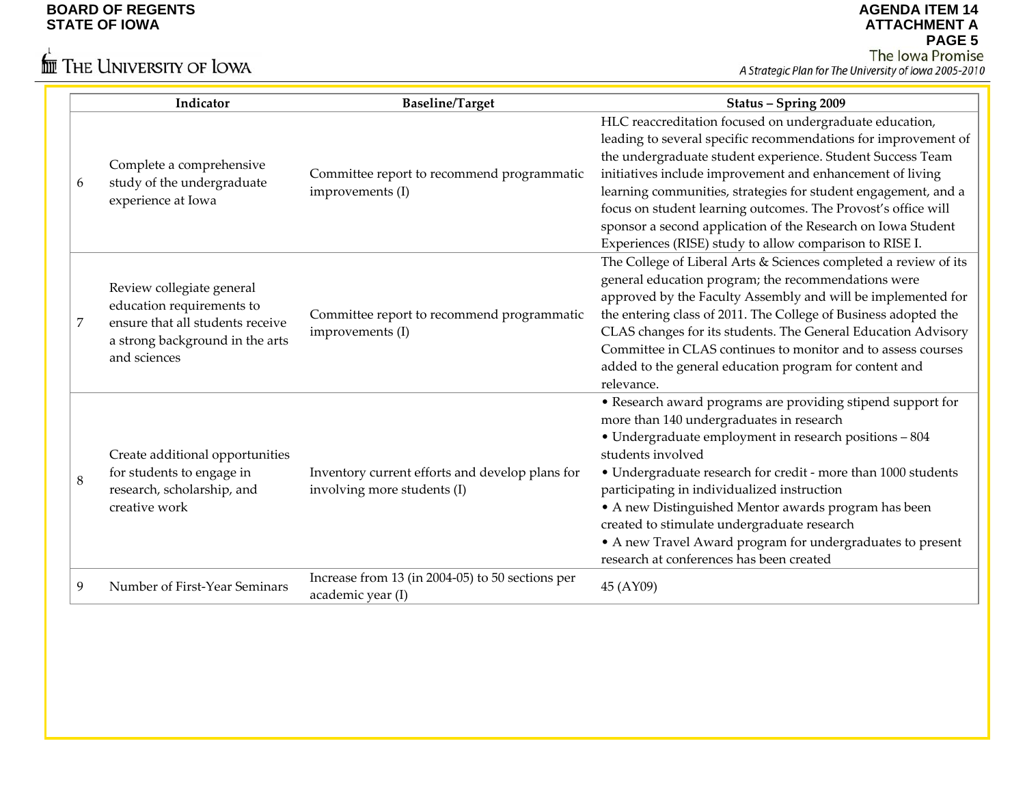# $\stackrel{\leftarrow}{\mathbb{I}\mathbb{I}}$  The University of Iowa

|   | Indicator                                                                                                                                     | <b>Baseline/Target</b>                                                         | Status - Spring 2009                                                                                                                                                                                                                                                                                                                                                                                                                                                                                                    |
|---|-----------------------------------------------------------------------------------------------------------------------------------------------|--------------------------------------------------------------------------------|-------------------------------------------------------------------------------------------------------------------------------------------------------------------------------------------------------------------------------------------------------------------------------------------------------------------------------------------------------------------------------------------------------------------------------------------------------------------------------------------------------------------------|
| 6 | Complete a comprehensive<br>study of the undergraduate<br>experience at Iowa                                                                  | Committee report to recommend programmatic<br>improvements (I)                 | HLC reaccreditation focused on undergraduate education,<br>leading to several specific recommendations for improvement of<br>the undergraduate student experience. Student Success Team<br>initiatives include improvement and enhancement of living<br>learning communities, strategies for student engagement, and a<br>focus on student learning outcomes. The Provost's office will<br>sponsor a second application of the Research on Iowa Student<br>Experiences (RISE) study to allow comparison to RISE I.      |
| 7 | Review collegiate general<br>education requirements to<br>ensure that all students receive<br>a strong background in the arts<br>and sciences | Committee report to recommend programmatic<br>improvements (I)                 | The College of Liberal Arts & Sciences completed a review of its<br>general education program; the recommendations were<br>approved by the Faculty Assembly and will be implemented for<br>the entering class of 2011. The College of Business adopted the<br>CLAS changes for its students. The General Education Advisory<br>Committee in CLAS continues to monitor and to assess courses<br>added to the general education program for content and<br>relevance.                                                     |
| 8 | Create additional opportunities<br>for students to engage in<br>research, scholarship, and<br>creative work                                   | Inventory current efforts and develop plans for<br>involving more students (I) | • Research award programs are providing stipend support for<br>more than 140 undergraduates in research<br>• Undergraduate employment in research positions - 804<br>students involved<br>• Undergraduate research for credit - more than 1000 students<br>participating in individualized instruction<br>• A new Distinguished Mentor awards program has been<br>created to stimulate undergraduate research<br>• A new Travel Award program for undergraduates to present<br>research at conferences has been created |
| 9 | Number of First-Year Seminars                                                                                                                 | Increase from 13 (in 2004-05) to 50 sections per<br>academic year (I)          | 45 (AY09)                                                                                                                                                                                                                                                                                                                                                                                                                                                                                                               |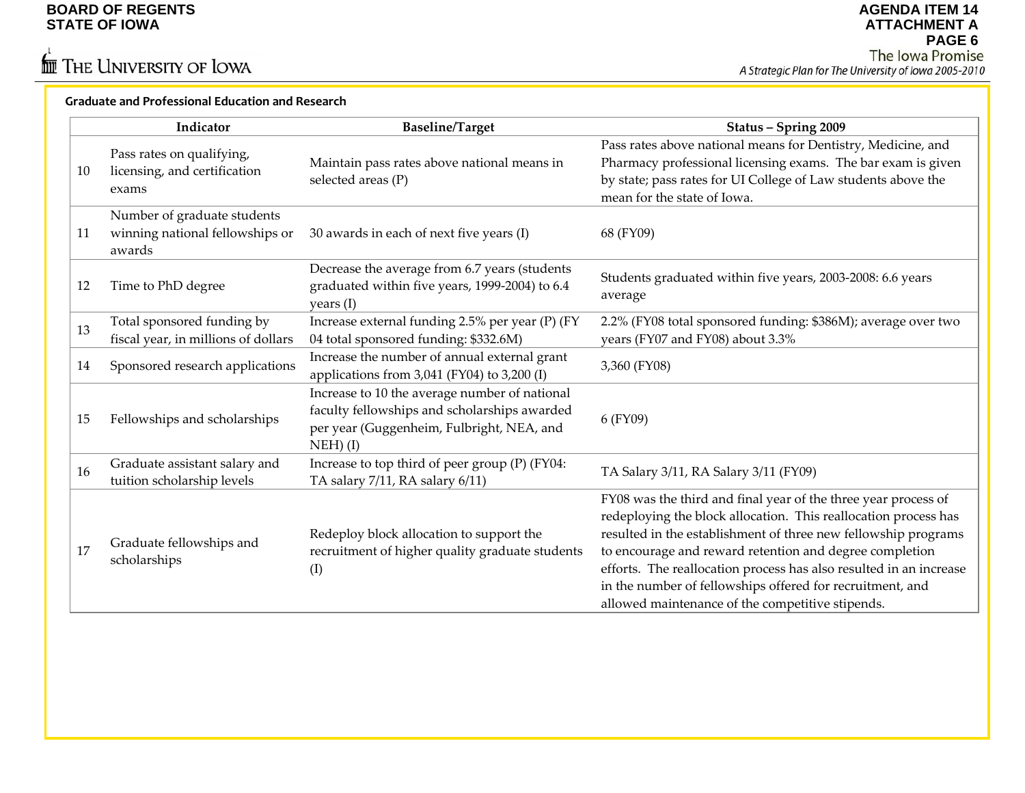$\stackrel{\leftarrow}{\mathbf{m}}$  The University of Iowa

#### **Graduate and Professional Education and Research**

|     | Indicator                                                                | <b>Baseline/Target</b>                                                                                                                                   | Status - Spring 2009                                                                                                                                                                                                                                                                                                                                                                                                                                  |
|-----|--------------------------------------------------------------------------|----------------------------------------------------------------------------------------------------------------------------------------------------------|-------------------------------------------------------------------------------------------------------------------------------------------------------------------------------------------------------------------------------------------------------------------------------------------------------------------------------------------------------------------------------------------------------------------------------------------------------|
| 10  | Pass rates on qualifying,<br>licensing, and certification<br>exams       | Maintain pass rates above national means in<br>selected areas (P)                                                                                        | Pass rates above national means for Dentistry, Medicine, and<br>Pharmacy professional licensing exams. The bar exam is given<br>by state; pass rates for UI College of Law students above the<br>mean for the state of Iowa.                                                                                                                                                                                                                          |
| -11 | Number of graduate students<br>winning national fellowships or<br>awards | 30 awards in each of next five years (I)                                                                                                                 | 68 (FY09)                                                                                                                                                                                                                                                                                                                                                                                                                                             |
| 12  | Time to PhD degree                                                       | Decrease the average from 6.7 years (students<br>graduated within five years, 1999-2004) to 6.4<br>years (I)                                             | Students graduated within five years, 2003-2008: 6.6 years<br>average                                                                                                                                                                                                                                                                                                                                                                                 |
| 13  | Total sponsored funding by<br>fiscal year, in millions of dollars        | Increase external funding 2.5% per year (P) (FY<br>04 total sponsored funding: \$332.6M)                                                                 | 2.2% (FY08 total sponsored funding: \$386M); average over two<br>years (FY07 and FY08) about 3.3%                                                                                                                                                                                                                                                                                                                                                     |
| 14  | Sponsored research applications                                          | Increase the number of annual external grant<br>applications from 3,041 (FY04) to 3,200 (I)                                                              | 3,360 (FY08)                                                                                                                                                                                                                                                                                                                                                                                                                                          |
| 15  | Fellowships and scholarships                                             | Increase to 10 the average number of national<br>faculty fellowships and scholarships awarded<br>per year (Guggenheim, Fulbright, NEA, and<br>$NEH)$ (I) | 6 (FY09)                                                                                                                                                                                                                                                                                                                                                                                                                                              |
| 16  | Graduate assistant salary and<br>tuition scholarship levels              | Increase to top third of peer group (P) (FY04:<br>TA salary 7/11, RA salary 6/11)                                                                        | TA Salary 3/11, RA Salary 3/11 (FY09)                                                                                                                                                                                                                                                                                                                                                                                                                 |
| 17  | Graduate fellowships and<br>scholarships                                 | Redeploy block allocation to support the<br>recruitment of higher quality graduate students<br>(I)                                                       | FY08 was the third and final year of the three year process of<br>redeploying the block allocation. This reallocation process has<br>resulted in the establishment of three new fellowship programs<br>to encourage and reward retention and degree completion<br>efforts. The reallocation process has also resulted in an increase<br>in the number of fellowships offered for recruitment, and<br>allowed maintenance of the competitive stipends. |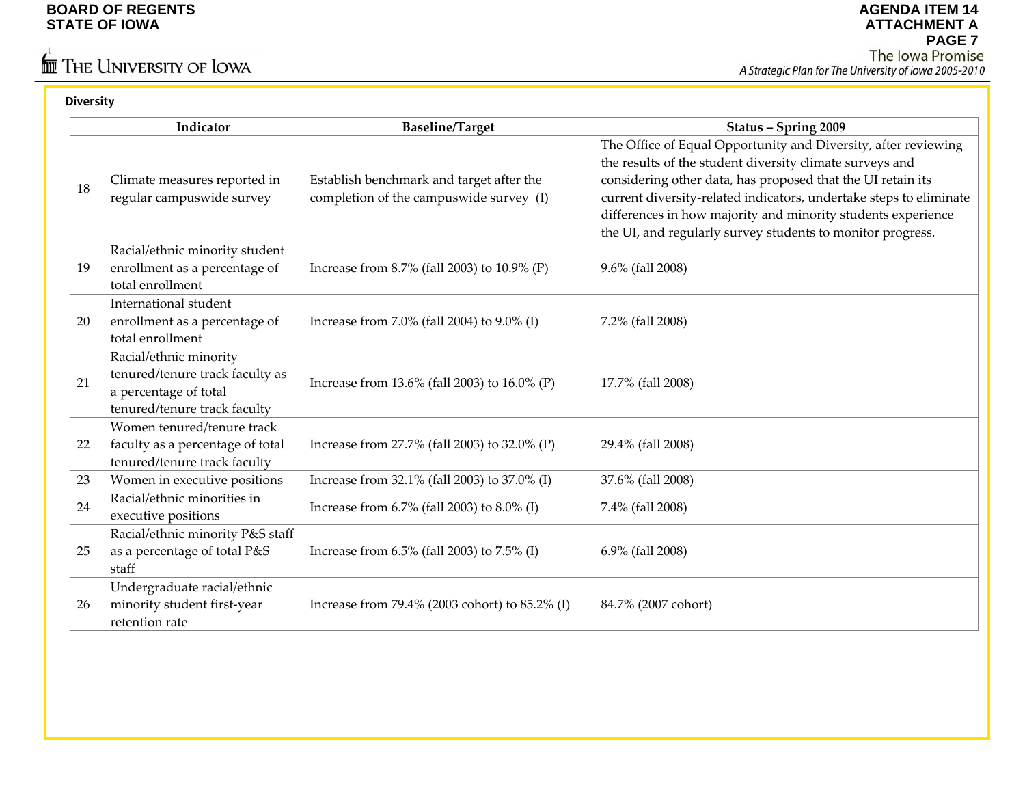# $\stackrel{\leftarrow}{\mathbf{m}}$  The University of Iowa

| <b>Diversity</b> |                                                                                                                    |                                                                                     |                                                                                                                                                                                                                                                                                                                                                                                               |
|------------------|--------------------------------------------------------------------------------------------------------------------|-------------------------------------------------------------------------------------|-----------------------------------------------------------------------------------------------------------------------------------------------------------------------------------------------------------------------------------------------------------------------------------------------------------------------------------------------------------------------------------------------|
|                  | Indicator                                                                                                          | <b>Baseline/Target</b>                                                              | Status - Spring 2009                                                                                                                                                                                                                                                                                                                                                                          |
| 18               | Climate measures reported in<br>regular campuswide survey                                                          | Establish benchmark and target after the<br>completion of the campuswide survey (I) | The Office of Equal Opportunity and Diversity, after reviewing<br>the results of the student diversity climate surveys and<br>considering other data, has proposed that the UI retain its<br>current diversity-related indicators, undertake steps to eliminate<br>differences in how majority and minority students experience<br>the UI, and regularly survey students to monitor progress. |
| 19               | Racial/ethnic minority student<br>enrollment as a percentage of<br>total enrollment                                | Increase from 8.7% (fall 2003) to 10.9% (P)                                         | 9.6% (fall 2008)                                                                                                                                                                                                                                                                                                                                                                              |
| 20               | International student<br>enrollment as a percentage of<br>total enrollment                                         | Increase from 7.0% (fall 2004) to 9.0% (I)                                          | 7.2% (fall 2008)                                                                                                                                                                                                                                                                                                                                                                              |
| 21               | Racial/ethnic minority<br>tenured/tenure track faculty as<br>a percentage of total<br>tenured/tenure track faculty | Increase from 13.6% (fall 2003) to 16.0% (P)                                        | 17.7% (fall 2008)                                                                                                                                                                                                                                                                                                                                                                             |
| 22               | Women tenured/tenure track<br>faculty as a percentage of total<br>tenured/tenure track faculty                     | Increase from 27.7% (fall 2003) to 32.0% (P)                                        | 29.4% (fall 2008)                                                                                                                                                                                                                                                                                                                                                                             |
| 23               | Women in executive positions                                                                                       | Increase from 32.1% (fall 2003) to 37.0% (I)                                        | 37.6% (fall 2008)                                                                                                                                                                                                                                                                                                                                                                             |
| 24               | Racial/ethnic minorities in<br>executive positions                                                                 | Increase from 6.7% (fall 2003) to 8.0% (I)                                          | 7.4% (fall 2008)                                                                                                                                                                                                                                                                                                                                                                              |
| 25               | Racial/ethnic minority P&S staff<br>as a percentage of total P&S<br>staff                                          | Increase from 6.5% (fall 2003) to 7.5% (I)                                          | 6.9% (fall 2008)                                                                                                                                                                                                                                                                                                                                                                              |
| 26               | Undergraduate racial/ethnic<br>minority student first-year<br>retention rate                                       | Increase from 79.4% (2003 cohort) to 85.2% (I)                                      | 84.7% (2007 cohort)                                                                                                                                                                                                                                                                                                                                                                           |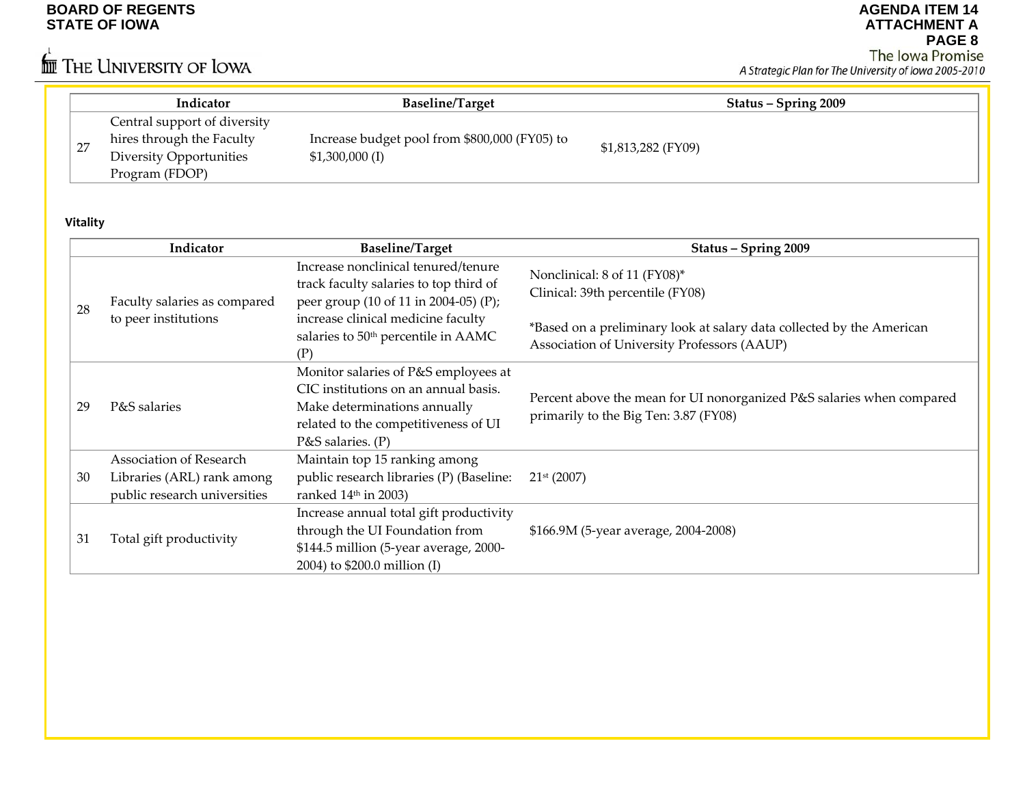# $\stackrel{\leftarrow}{\mathbb{I}\mathbb{I}}$  The University of Iowa

**AGENDA ITEM 14 ATTACHMENT APAGE 8**

|    | Indicator                      | <b>Baseline/Target</b>                        | Status – Spring 2009 |
|----|--------------------------------|-----------------------------------------------|----------------------|
|    | Central support of diversity   |                                               |                      |
| 27 | hires through the Faculty      | Increase budget pool from \$800,000 (FY05) to | \$1,813,282 (FY09)   |
|    | <b>Diversity Opportunities</b> | $$1,300,000$ (I)                              |                      |
|    | Program (FDOP)                 |                                               |                      |

## **Vitality**

|    | Indicator                                                                             | <b>Baseline/Target</b>                                                                                                                                                        | Status - Spring 2009                                                                                                 |
|----|---------------------------------------------------------------------------------------|-------------------------------------------------------------------------------------------------------------------------------------------------------------------------------|----------------------------------------------------------------------------------------------------------------------|
|    | Faculty salaries as compared                                                          | Increase nonclinical tenured/tenure<br>track faculty salaries to top third of<br>peer group (10 of 11 in 2004-05) (P);                                                        | Nonclinical: 8 of 11 (FY08)*<br>Clinical: 39th percentile (FY08)                                                     |
| 28 | to peer institutions                                                                  | increase clinical medicine faculty<br>salaries to 50 <sup>th</sup> percentile in AAMC<br>(P)                                                                                  | *Based on a preliminary look at salary data collected by the American<br>Association of University Professors (AAUP) |
| 29 | P&S salaries                                                                          | Monitor salaries of P&S employees at<br>CIC institutions on an annual basis.<br>Make determinations annually<br>related to the competitiveness of UI<br>$P&S$ salaries. $(P)$ | Percent above the mean for UI nonorganized P&S salaries when compared<br>primarily to the Big Ten: 3.87 (FY08)       |
| 30 | Association of Research<br>Libraries (ARL) rank among<br>public research universities | Maintain top 15 ranking among<br>public research libraries (P) (Baseline:<br>ranked $14th$ in 2003)                                                                           | 21 <sup>st</sup> (2007)                                                                                              |
| 31 | Total gift productivity                                                               | Increase annual total gift productivity<br>through the UI Foundation from<br>\$144.5 million (5-year average, 2000-<br>2004) to \$200.0 million (I)                           | \$166.9M (5-year average, 2004-2008)                                                                                 |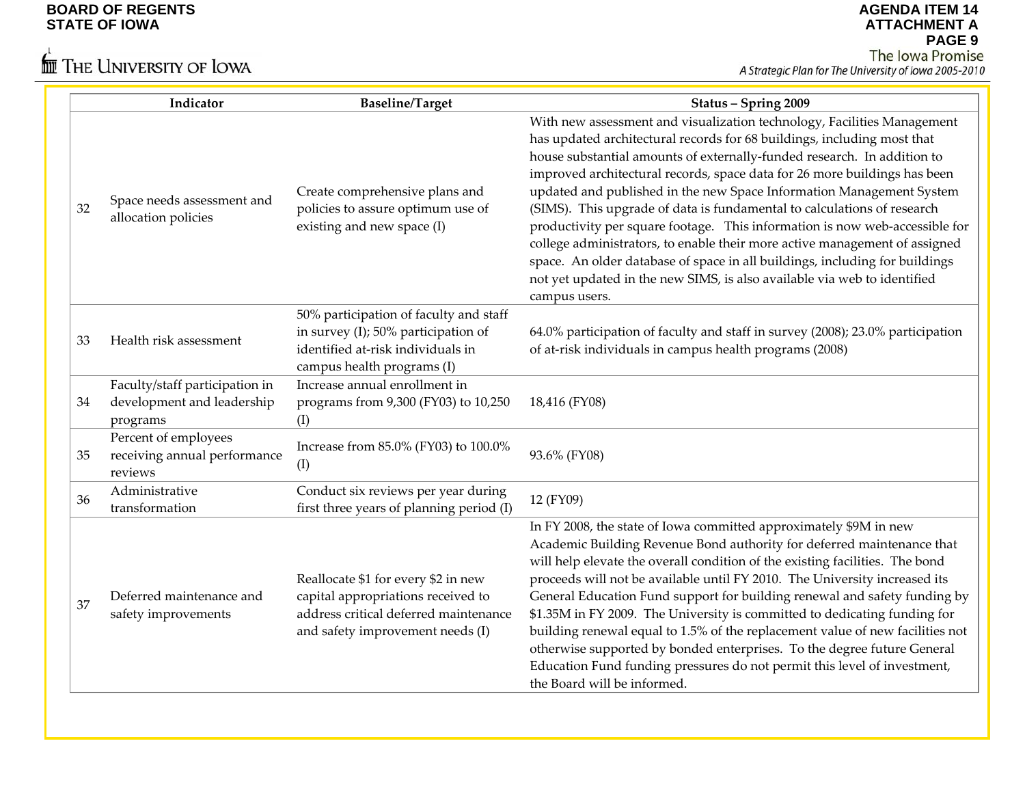# $\stackrel{\leftarrow}{\mathbf{m}}$  The University of Iowa

|    | Indicator                                                                | <b>Baseline/Target</b>                                                                                                                                 | Status - Spring 2009                                                                                                                                                                                                                                                                                                                                                                                                                                                                                                                                                                                                                                                                                                                                                                                   |
|----|--------------------------------------------------------------------------|--------------------------------------------------------------------------------------------------------------------------------------------------------|--------------------------------------------------------------------------------------------------------------------------------------------------------------------------------------------------------------------------------------------------------------------------------------------------------------------------------------------------------------------------------------------------------------------------------------------------------------------------------------------------------------------------------------------------------------------------------------------------------------------------------------------------------------------------------------------------------------------------------------------------------------------------------------------------------|
| 32 | Space needs assessment and<br>allocation policies                        | Create comprehensive plans and<br>policies to assure optimum use of<br>existing and new space (I)                                                      | With new assessment and visualization technology, Facilities Management<br>has updated architectural records for 68 buildings, including most that<br>house substantial amounts of externally-funded research. In addition to<br>improved architectural records, space data for 26 more buildings has been<br>updated and published in the new Space Information Management System<br>(SIMS). This upgrade of data is fundamental to calculations of research<br>productivity per square footage. This information is now web-accessible for<br>college administrators, to enable their more active management of assigned<br>space. An older database of space in all buildings, including for buildings<br>not yet updated in the new SIMS, is also available via web to identified<br>campus users. |
| 33 | Health risk assessment                                                   | 50% participation of faculty and staff<br>in survey (I); 50% participation of<br>identified at-risk individuals in<br>campus health programs (I)       | 64.0% participation of faculty and staff in survey (2008); 23.0% participation<br>of at-risk individuals in campus health programs (2008)                                                                                                                                                                                                                                                                                                                                                                                                                                                                                                                                                                                                                                                              |
| 34 | Faculty/staff participation in<br>development and leadership<br>programs | Increase annual enrollment in<br>programs from 9,300 (FY03) to 10,250<br>(I)                                                                           | 18,416 (FY08)                                                                                                                                                                                                                                                                                                                                                                                                                                                                                                                                                                                                                                                                                                                                                                                          |
| 35 | Percent of employees<br>receiving annual performance<br>reviews          | Increase from 85.0% (FY03) to 100.0%<br>(I)                                                                                                            | 93.6% (FY08)                                                                                                                                                                                                                                                                                                                                                                                                                                                                                                                                                                                                                                                                                                                                                                                           |
| 36 | Administrative<br>transformation                                         | Conduct six reviews per year during<br>first three years of planning period (I)                                                                        | 12 (FY09)                                                                                                                                                                                                                                                                                                                                                                                                                                                                                                                                                                                                                                                                                                                                                                                              |
| 37 | Deferred maintenance and<br>safety improvements                          | Reallocate \$1 for every \$2 in new<br>capital appropriations received to<br>address critical deferred maintenance<br>and safety improvement needs (I) | In FY 2008, the state of Iowa committed approximately \$9M in new<br>Academic Building Revenue Bond authority for deferred maintenance that<br>will help elevate the overall condition of the existing facilities. The bond<br>proceeds will not be available until FY 2010. The University increased its<br>General Education Fund support for building renewal and safety funding by<br>\$1.35M in FY 2009. The University is committed to dedicating funding for<br>building renewal equal to 1.5% of the replacement value of new facilities not<br>otherwise supported by bonded enterprises. To the degree future General<br>Education Fund funding pressures do not permit this level of investment,<br>the Board will be informed.                                                             |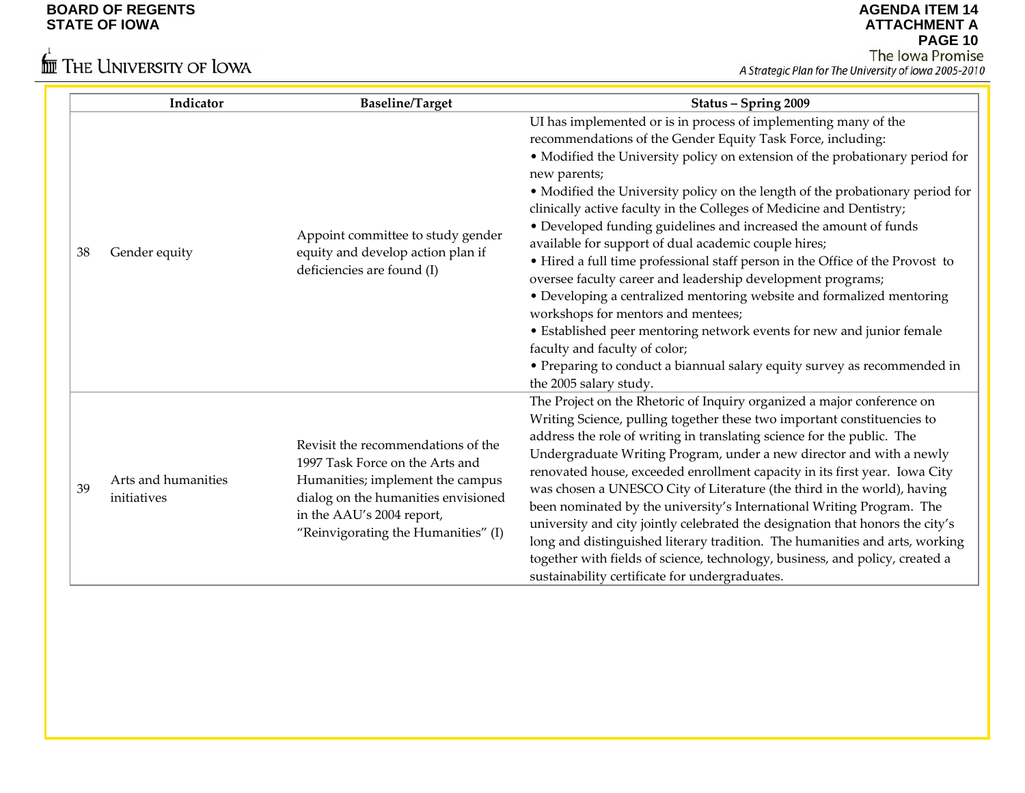# $\stackrel{\leftarrow}{\text{Im}}$  The University of Iowa

| Indicator                                | <b>Baseline/Target</b>                                                                                                                                                                                               | Status - Spring 2009                                                                                                                                                                                                                                                                                                                                                                                                                                                                                                                                                                                                                                                                                                                                                                                                                                                                                                                                                                               |
|------------------------------------------|----------------------------------------------------------------------------------------------------------------------------------------------------------------------------------------------------------------------|----------------------------------------------------------------------------------------------------------------------------------------------------------------------------------------------------------------------------------------------------------------------------------------------------------------------------------------------------------------------------------------------------------------------------------------------------------------------------------------------------------------------------------------------------------------------------------------------------------------------------------------------------------------------------------------------------------------------------------------------------------------------------------------------------------------------------------------------------------------------------------------------------------------------------------------------------------------------------------------------------|
| 38<br>Gender equity                      | Appoint committee to study gender<br>equity and develop action plan if<br>deficiencies are found (I)                                                                                                                 | UI has implemented or is in process of implementing many of the<br>recommendations of the Gender Equity Task Force, including:<br>• Modified the University policy on extension of the probationary period for<br>new parents;<br>• Modified the University policy on the length of the probationary period for<br>clinically active faculty in the Colleges of Medicine and Dentistry;<br>• Developed funding guidelines and increased the amount of funds<br>available for support of dual academic couple hires;<br>• Hired a full time professional staff person in the Office of the Provost to<br>oversee faculty career and leadership development programs;<br>• Developing a centralized mentoring website and formalized mentoring<br>workshops for mentors and mentees;<br>• Established peer mentoring network events for new and junior female<br>faculty and faculty of color;<br>• Preparing to conduct a biannual salary equity survey as recommended in<br>the 2005 salary study. |
| Arts and humanities<br>39<br>initiatives | Revisit the recommendations of the<br>1997 Task Force on the Arts and<br>Humanities; implement the campus<br>dialog on the humanities envisioned<br>in the AAU's 2004 report,<br>"Reinvigorating the Humanities" (I) | The Project on the Rhetoric of Inquiry organized a major conference on<br>Writing Science, pulling together these two important constituencies to<br>address the role of writing in translating science for the public. The<br>Undergraduate Writing Program, under a new director and with a newly<br>renovated house, exceeded enrollment capacity in its first year. Iowa City<br>was chosen a UNESCO City of Literature (the third in the world), having<br>been nominated by the university's International Writing Program. The<br>university and city jointly celebrated the designation that honors the city's<br>long and distinguished literary tradition. The humanities and arts, working<br>together with fields of science, technology, business, and policy, created a<br>sustainability certificate for undergraduates.                                                                                                                                                            |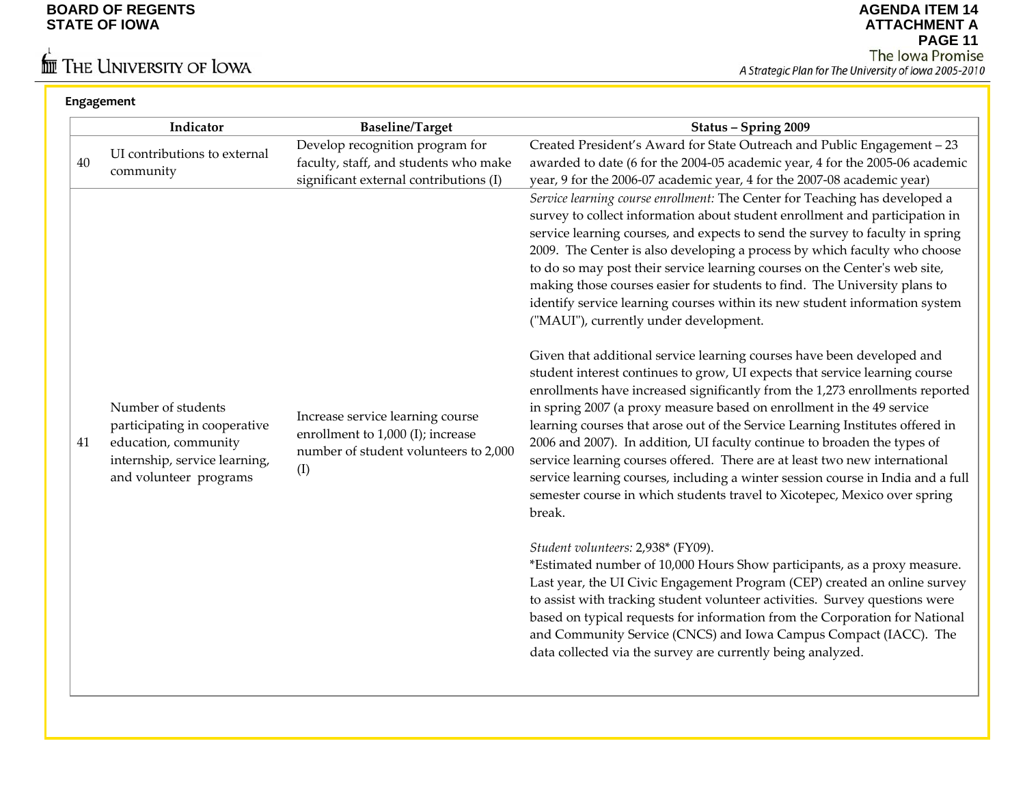**Engagement**

# $\stackrel{\leftarrow}{\mathbf{m}}$  The University of Iowa

|    | Indicator                                                                                                                             | <b>Baseline/Target</b>                                                                                                | Status - Spring 2009                                                                                                                                                                                                                                                                                                                                                                                                                                                                                                                                                                                                                                                                                                                                                                                                                                                                                                                                                                                                                                                                                                                                                                                                                                                                                                                      |
|----|---------------------------------------------------------------------------------------------------------------------------------------|-----------------------------------------------------------------------------------------------------------------------|-------------------------------------------------------------------------------------------------------------------------------------------------------------------------------------------------------------------------------------------------------------------------------------------------------------------------------------------------------------------------------------------------------------------------------------------------------------------------------------------------------------------------------------------------------------------------------------------------------------------------------------------------------------------------------------------------------------------------------------------------------------------------------------------------------------------------------------------------------------------------------------------------------------------------------------------------------------------------------------------------------------------------------------------------------------------------------------------------------------------------------------------------------------------------------------------------------------------------------------------------------------------------------------------------------------------------------------------|
| 40 | UI contributions to external<br>community                                                                                             | Develop recognition program for<br>faculty, staff, and students who make<br>significant external contributions (I)    | Created President's Award for State Outreach and Public Engagement - 23<br>awarded to date (6 for the 2004-05 academic year, 4 for the 2005-06 academic<br>year, 9 for the 2006-07 academic year, 4 for the 2007-08 academic year)                                                                                                                                                                                                                                                                                                                                                                                                                                                                                                                                                                                                                                                                                                                                                                                                                                                                                                                                                                                                                                                                                                        |
| 41 | Number of students<br>participating in cooperative<br>education, community<br>internship, service learning,<br>and volunteer programs | Increase service learning course<br>enrollment to 1,000 (I); increase<br>number of student volunteers to 2,000<br>(I) | Service learning course enrollment: The Center for Teaching has developed a<br>survey to collect information about student enrollment and participation in<br>service learning courses, and expects to send the survey to faculty in spring<br>2009. The Center is also developing a process by which faculty who choose<br>to do so may post their service learning courses on the Center's web site,<br>making those courses easier for students to find. The University plans to<br>identify service learning courses within its new student information system<br>("MAUI"), currently under development.<br>Given that additional service learning courses have been developed and<br>student interest continues to grow, UI expects that service learning course<br>enrollments have increased significantly from the 1,273 enrollments reported<br>in spring 2007 (a proxy measure based on enrollment in the 49 service<br>learning courses that arose out of the Service Learning Institutes offered in<br>2006 and 2007). In addition, UI faculty continue to broaden the types of<br>service learning courses offered. There are at least two new international<br>service learning courses, including a winter session course in India and a full<br>semester course in which students travel to Xicotepec, Mexico over spring |
|    |                                                                                                                                       |                                                                                                                       | break.<br>Student volunteers: 2,938* (FY09).<br>*Estimated number of 10,000 Hours Show participants, as a proxy measure.<br>Last year, the UI Civic Engagement Program (CEP) created an online survey<br>to assist with tracking student volunteer activities. Survey questions were<br>based on typical requests for information from the Corporation for National<br>and Community Service (CNCS) and Iowa Campus Compact (IACC). The<br>data collected via the survey are currently being analyzed.                                                                                                                                                                                                                                                                                                                                                                                                                                                                                                                                                                                                                                                                                                                                                                                                                                    |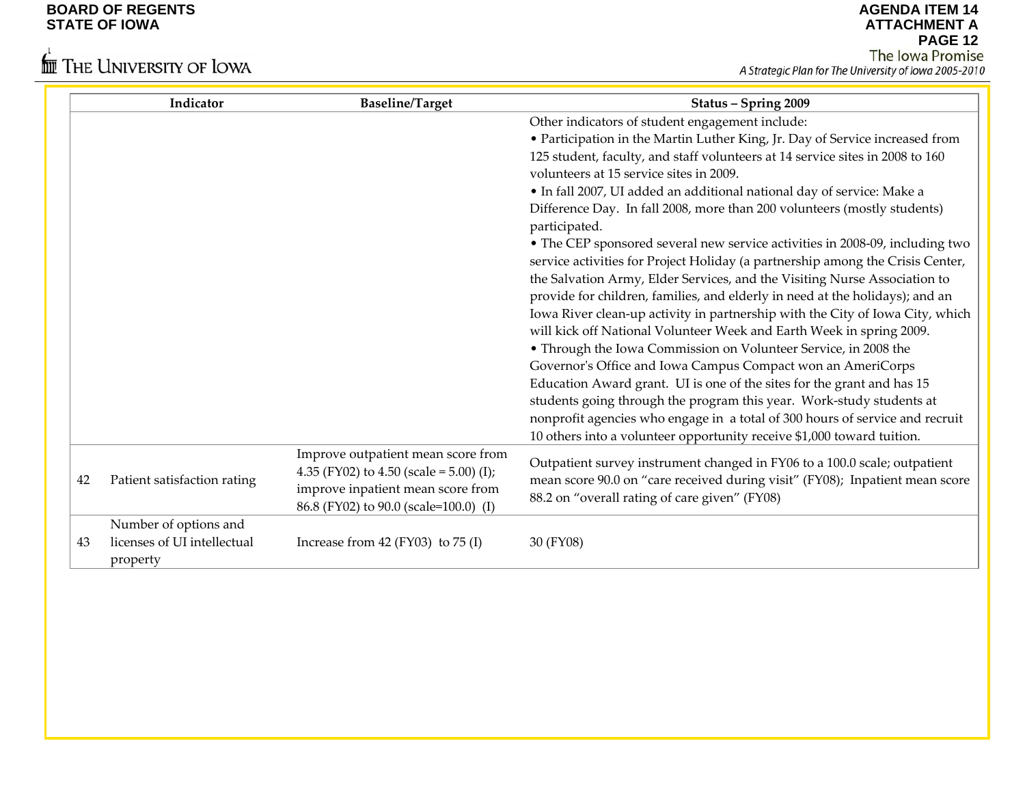# $\stackrel{\leftarrow}{\mathbb{I}\mathbb{I}}$  The University of Iowa

|    | Indicator                               | <b>Baseline/Target</b>                                                                                                                                      | Status - Spring 2009                                                                                                                                                                                       |
|----|-----------------------------------------|-------------------------------------------------------------------------------------------------------------------------------------------------------------|------------------------------------------------------------------------------------------------------------------------------------------------------------------------------------------------------------|
|    |                                         |                                                                                                                                                             | Other indicators of student engagement include:                                                                                                                                                            |
|    |                                         |                                                                                                                                                             | • Participation in the Martin Luther King, Jr. Day of Service increased from                                                                                                                               |
|    |                                         |                                                                                                                                                             | 125 student, faculty, and staff volunteers at 14 service sites in 2008 to 160                                                                                                                              |
|    |                                         |                                                                                                                                                             | volunteers at 15 service sites in 2009.                                                                                                                                                                    |
|    |                                         |                                                                                                                                                             | · In fall 2007, UI added an additional national day of service: Make a                                                                                                                                     |
|    |                                         |                                                                                                                                                             | Difference Day. In fall 2008, more than 200 volunteers (mostly students)<br>participated.                                                                                                                  |
|    |                                         |                                                                                                                                                             | • The CEP sponsored several new service activities in 2008-09, including two                                                                                                                               |
|    |                                         |                                                                                                                                                             | service activities for Project Holiday (a partnership among the Crisis Center,                                                                                                                             |
|    |                                         |                                                                                                                                                             | the Salvation Army, Elder Services, and the Visiting Nurse Association to                                                                                                                                  |
|    |                                         |                                                                                                                                                             | provide for children, families, and elderly in need at the holidays); and an                                                                                                                               |
|    |                                         |                                                                                                                                                             | Iowa River clean-up activity in partnership with the City of Iowa City, which                                                                                                                              |
|    |                                         |                                                                                                                                                             | will kick off National Volunteer Week and Earth Week in spring 2009.                                                                                                                                       |
|    |                                         |                                                                                                                                                             | • Through the Iowa Commission on Volunteer Service, in 2008 the                                                                                                                                            |
|    |                                         |                                                                                                                                                             | Governor's Office and Iowa Campus Compact won an AmeriCorps                                                                                                                                                |
|    |                                         |                                                                                                                                                             | Education Award grant. UI is one of the sites for the grant and has 15                                                                                                                                     |
|    |                                         |                                                                                                                                                             | students going through the program this year. Work-study students at                                                                                                                                       |
|    |                                         |                                                                                                                                                             | nonprofit agencies who engage in a total of 300 hours of service and recruit                                                                                                                               |
|    |                                         |                                                                                                                                                             | 10 others into a volunteer opportunity receive \$1,000 toward tuition.                                                                                                                                     |
| 42 | Patient satisfaction rating             | Improve outpatient mean score from<br>4.35 (FY02) to 4.50 (scale = 5.00) (I);<br>improve inpatient mean score from<br>86.8 (FY02) to 90.0 (scale=100.0) (I) | Outpatient survey instrument changed in FY06 to a 100.0 scale; outpatient<br>mean score 90.0 on "care received during visit" (FY08); Inpatient mean score<br>88.2 on "overall rating of care given" (FY08) |
|    | Number of options and                   |                                                                                                                                                             |                                                                                                                                                                                                            |
| 43 | licenses of UI intellectual<br>property | Increase from $42$ (FY03) to $75$ (I)                                                                                                                       | 30 (FY08)                                                                                                                                                                                                  |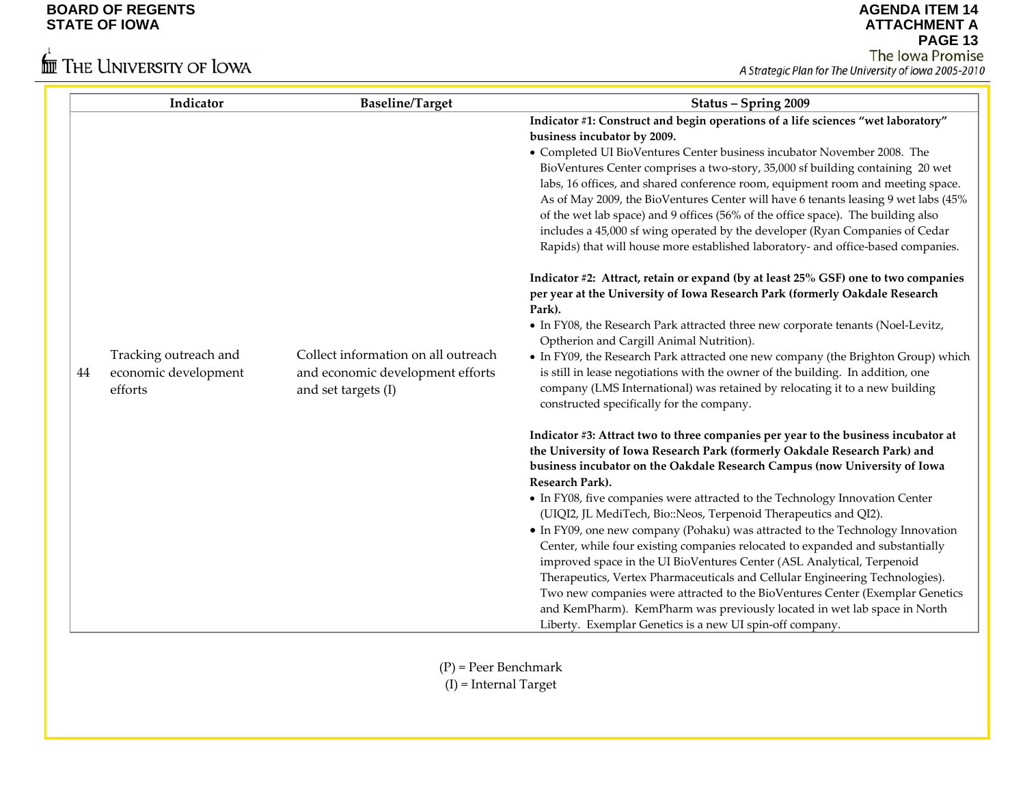# $\stackrel{\leftarrow}{\blacksquare}$  The University of Iowa

| Indicator<br><b>Baseline/Target</b>                                                                                                                              | Status - Spring 2009                                                                                                                                                                                                                                                                                                                                                                                                                                                                                                                                                                                                                                                                                                                                                                                                                                                                                                                                                                                                                                                                                                                                                                                                                                                                                                                                                                                                                                                                                                                                                                                                                                                                                                                                                                                                                                                                                                                                                                                                                                                                                                                                                                                                                                                                                          |
|------------------------------------------------------------------------------------------------------------------------------------------------------------------|---------------------------------------------------------------------------------------------------------------------------------------------------------------------------------------------------------------------------------------------------------------------------------------------------------------------------------------------------------------------------------------------------------------------------------------------------------------------------------------------------------------------------------------------------------------------------------------------------------------------------------------------------------------------------------------------------------------------------------------------------------------------------------------------------------------------------------------------------------------------------------------------------------------------------------------------------------------------------------------------------------------------------------------------------------------------------------------------------------------------------------------------------------------------------------------------------------------------------------------------------------------------------------------------------------------------------------------------------------------------------------------------------------------------------------------------------------------------------------------------------------------------------------------------------------------------------------------------------------------------------------------------------------------------------------------------------------------------------------------------------------------------------------------------------------------------------------------------------------------------------------------------------------------------------------------------------------------------------------------------------------------------------------------------------------------------------------------------------------------------------------------------------------------------------------------------------------------------------------------------------------------------------------------------------------------|
| Tracking outreach and<br>Collect information on all outreach<br>economic development<br>and economic development efforts<br>44<br>efforts<br>and set targets (I) | Indicator #1: Construct and begin operations of a life sciences "wet laboratory"<br>business incubator by 2009.<br>• Completed UI BioVentures Center business incubator November 2008. The<br>BioVentures Center comprises a two-story, 35,000 sf building containing 20 wet<br>labs, 16 offices, and shared conference room, equipment room and meeting space.<br>As of May 2009, the BioVentures Center will have 6 tenants leasing 9 wet labs (45%<br>of the wet lab space) and 9 offices (56% of the office space). The building also<br>includes a 45,000 sf wing operated by the developer (Ryan Companies of Cedar<br>Rapids) that will house more established laboratory- and office-based companies.<br>Indicator #2: Attract, retain or expand (by at least 25% GSF) one to two companies<br>per year at the University of Iowa Research Park (formerly Oakdale Research<br>Park).<br>• In FY08, the Research Park attracted three new corporate tenants (Noel-Levitz,<br>Optherion and Cargill Animal Nutrition).<br>• In FY09, the Research Park attracted one new company (the Brighton Group) which<br>is still in lease negotiations with the owner of the building. In addition, one<br>company (LMS International) was retained by relocating it to a new building<br>constructed specifically for the company.<br>Indicator #3: Attract two to three companies per year to the business incubator at<br>the University of Iowa Research Park (formerly Oakdale Research Park) and<br>business incubator on the Oakdale Research Campus (now University of Iowa<br>Research Park).<br>• In FY08, five companies were attracted to the Technology Innovation Center<br>(UIQI2, JL MediTech, Bio::Neos, Terpenoid Therapeutics and QI2).<br>• In FY09, one new company (Pohaku) was attracted to the Technology Innovation<br>Center, while four existing companies relocated to expanded and substantially<br>improved space in the UI BioVentures Center (ASL Analytical, Terpenoid<br>Therapeutics, Vertex Pharmaceuticals and Cellular Engineering Technologies).<br>Two new companies were attracted to the BioVentures Center (Exemplar Genetics<br>and KemPharm). KemPharm was previously located in wet lab space in North<br>Liberty. Exemplar Genetics is a new UI spin-off company. |

- (P) <sup>=</sup> Peer Benchmark
- (I) <sup>=</sup> Internal Target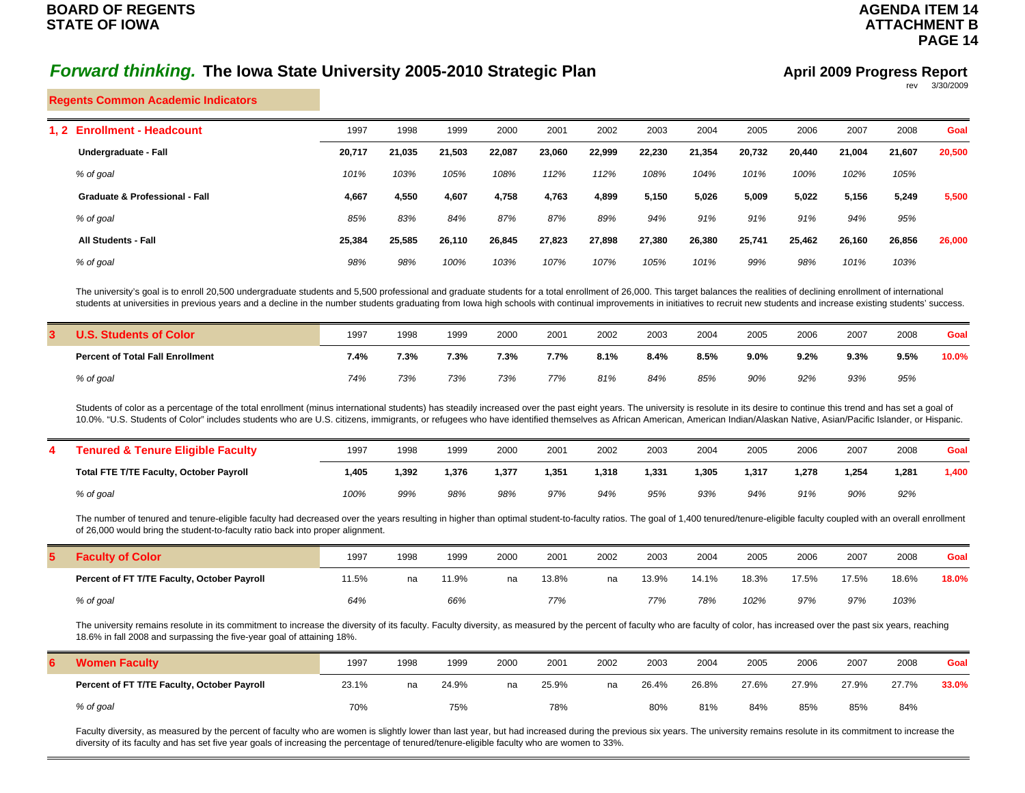## **PAGE 14**

**AGENDA ITEM 14ATTACHMENT B**

#### **Regents Common Academic Indicators**

| <b>Enrollment - Headcount</b><br>1. 2     | 1997   | 1998   | 1999   | 2000   | 2001   | 2002   | 2003   | 2004   | 2005   | 2006   | 2007   | 2008   | Goal   |
|-------------------------------------------|--------|--------|--------|--------|--------|--------|--------|--------|--------|--------|--------|--------|--------|
| Undergraduate - Fall                      | 20,717 | 21,035 | 21,503 | 22,087 | 23,060 | 22,999 | 22,230 | 21,354 | 20,732 | 20.440 | 21,004 | 21,607 | 20,500 |
| % of goal                                 | 101%   | 103%   | 105%   | 108%   | 112%   | 112%   | 108%   | 104%   | 101%   | 100%   | 102%   | 105%   |        |
| <b>Graduate &amp; Professional - Fall</b> | 4,667  | 4,550  | 4,607  | 4,758  | 4,763  | 4,899  | 5,150  | 5,026  | 5,009  | 5,022  | 5,156  | 5,249  | 5,500  |
| % of goal                                 | 85%    | 83%    | 84%    | 87%    | 87%    | 89%    | 94%    | 91%    | 91%    | 91%    | 94%    | 95%    |        |
| <b>All Students - Fall</b>                | 25,384 | 25,585 | 26,110 | 26,845 | 27,823 | 27,898 | 27,380 | 26,380 | 25,741 | 25,462 | 26,160 | 26,856 | 26,000 |
| % of goal                                 | 98%    | 98%    | 100%   | 103%   | 107%   | 107%   | 105%   | 101%   | 99%    | 98%    | 101%   | 103%   |        |
|                                           |        |        |        |        |        |        |        |        |        |        |        |        |        |

The university's goal is to enroll 20,500 undergraduate students and 5,500 professional and graduate students for a total enrollment of 26,000. This target balances the realities of declining enrollment of international students at universities in previous years and a decline in the number students graduating from Iowa high schools with continual improvements in initiatives to recruit new students and increase existing students' success.

| . Students of Color                     | 1997 | 1998 | 1999 | 2000 | 2001 | 2002 | 2003 | 2004 | 2005 | 2006 | 2007 | 2008    | Goal  |
|-----------------------------------------|------|------|------|------|------|------|------|------|------|------|------|---------|-------|
| <b>Percent of Total Fall Enrollment</b> | 7.4% | 7.3% | 7.3% | 7.3% | 7.7% | 8.1% | 8.4% | 8.5% | 9.0% | 9.2% | 9.3% | $9.5\%$ | 10.0% |
| % of goal                               | 74%  | 73%  | 73%  | 73%  | 77%  | 81%  | 84%  | 85%  | 90%  | 92%  | 93%  | 95%     |       |

Students of color as a percentage of the total enrollment (minus international students) has steadily increased over the past eight years. The university is resolute in its desire to continue this trend and has set a goal 10.0%. "U.S. Students of Color" includes students who are U.S. citizens, immigrants, or refugees who have identified themselves as African American, American Indian/Alaskan Native, Asian/Pacific Islander, or Hispanic.

| <b>Tenured &amp; Tenure Eligible Faculty</b>   | 1997 | 1998  | 1999  | 2000  | 2001  | 2002  | 2003  | 2004  | 2005  | 2006  | 2007  | 2008  | Goal  |
|------------------------------------------------|------|-------|-------|-------|-------|-------|-------|-------|-------|-------|-------|-------|-------|
| <b>Total FTE T/TE Faculty, October Payroll</b> | .405 | 1.392 | 1.376 | 1.377 | 1,351 | 1,318 | 1,331 | 1,305 | 1,317 | 1.278 | 1.254 | 1.281 | 1,400 |
| % of goal                                      | 100% | 99%   | 98%   | 98%   | 97%   | 94%   | 95%   | 93%   | 94%   | 91%   | 90%   | 92%   |       |

The number of tenured and tenure-eligible faculty had decreased over the years resulting in higher than optimal student-to-faculty ratios. The goal of 1,400 tenured/tenure-eligible faculty coupled with an overall enrollmen of 26,000 would bring the student-to-faculty ratio back into proper alignment.

| <b>Faculty of Color</b>                     | 1997  | 1998 | 1999    | 2000 | 2001  | 2002 | 2003  | 2004  | 2005  | 2006  | 2007  | 2008  | Goal  |
|---------------------------------------------|-------|------|---------|------|-------|------|-------|-------|-------|-------|-------|-------|-------|
| Percent of FT T/TE Faculty, October Payroll | 11.5% | na   | $1.9\%$ | na   | 13.8% | na   | 13.9% | 14.1% | 18.3% | 17.5% | 17.5% | 18.6% | 18.0% |
| % of goal                                   | 64%   |      | 66%     |      | 77%   |      | 77%   | 78%   | 102%  | 97%   | 97%   | 103%  |       |

The university remains resolute in its commitment to increase the diversity of its faculty. Faculty diversity, as measured by the percent of faculty who are faculty of color, has increased over the past six years, reaching 18.6% in fall 2008 and surpassing the five-year goal of attaining 18%.

| <b>Women Faculty</b>                        | 1997  | 1998 | 1999  | 2000 | 2001  | 2002 | 2003  | 2004  | 2005  | 2006  | 2007  | 2008  | Goal  |
|---------------------------------------------|-------|------|-------|------|-------|------|-------|-------|-------|-------|-------|-------|-------|
| Percent of FT T/TE Faculty, October Payroll | 23.1% | na   | 24.9% | na   | 25.9% | na   | 26.4% | 26.8% | 27.6% | 27.9% | 27.9% | 27.7% | 33.0% |
| % of goal                                   | 70%   |      | 75%   |      | 78%   |      | 80%   | 81%   | 84%   | 85%   | 85%   | 84%   |       |

Faculty diversity, as measured by the percent of faculty who are women is slightly lower than last year, but had increased during the previous six years. The university remains resolute in its commitment to increase the diversity of its faculty and has set five year goals of increasing the percentage of tenured/tenure-eligible faculty who are women to 33%.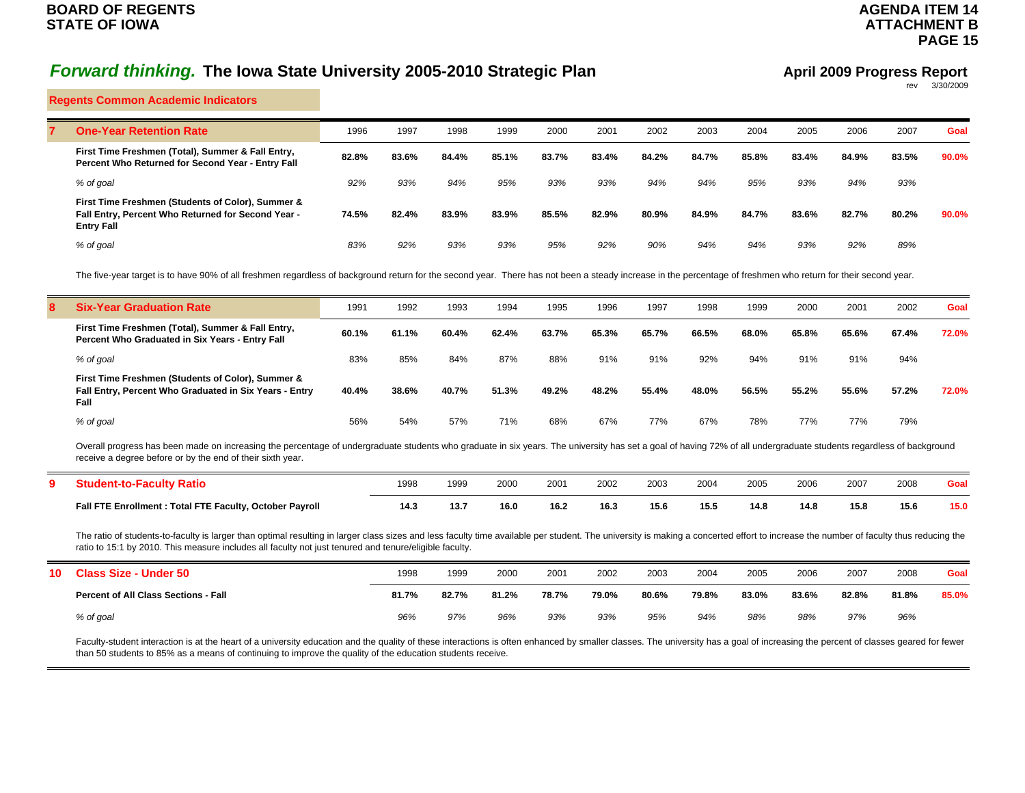## **AGENDA ITEM 14 ATTACHMENT BPAGE 15**

## *Forward thinking.* **The Iowa State University 2005-2010 Strategic Plan**

#### **April 2009 Progress Report** rev 3/30/2009

**Regents Common Academic Indicators**

| <b>One-Year Retention Rate</b>                                                                                               | 1996  | 1997  | 1998  | 1999  | 2000  | 2001  | 2002  | 2003  | 2004  | 2005  | 2006  | 2007  | Goal  |
|------------------------------------------------------------------------------------------------------------------------------|-------|-------|-------|-------|-------|-------|-------|-------|-------|-------|-------|-------|-------|
| First Time Freshmen (Total), Summer & Fall Entry,<br>Percent Who Returned for Second Year - Entry Fall                       | 82.8% | 83.6% | 84.4% | 85.1% | 83.7% | 83.4% | 84.2% | 84.7% | 85.8% | 83.4% | 84.9% | 83.5% | 90.0% |
| % of goal                                                                                                                    | 92%   | 93%   | 94%   | 95%   | 93%   | 93%   | 94%   | 94%   | 95%   | 93%   | 94%   | 93%   |       |
| First Time Freshmen (Students of Color), Summer &<br>Fall Entry, Percent Who Returned for Second Year -<br><b>Entry Fall</b> | 74.5% | 82.4% | 83.9% | 83.9% | 85.5% | 82.9% | 80.9% | 84.9% | 84.7% | 83.6% | 82.7% | 80.2% | 90.0% |
| % of goal                                                                                                                    | 83%   | 92%   | 93%   | 93%   | 95%   | 92%   | 90%   | 94%   | 94%   | 93%   | 92%   | 89%   |       |

The five-year target is to have 90% of all freshmen regardless of background return for the second year. There has not been a steady increase in the percentage of freshmen who return for their second year.

| <b>Six-Year Graduation Rate</b>                                                                                     | 1991  | 1992  | 1993  | 1994  | 1995  | 1996  | 1997  | 1998  | 1999  | 2000  | 2001  | 2002  | Goal  |
|---------------------------------------------------------------------------------------------------------------------|-------|-------|-------|-------|-------|-------|-------|-------|-------|-------|-------|-------|-------|
| First Time Freshmen (Total), Summer & Fall Entry,<br>Percent Who Graduated in Six Years - Entry Fall                | 60.1% | 61.1% | 60.4% | 62.4% | 63.7% | 65.3% | 65.7% | 66.5% | 68.0% | 65.8% | 65.6% | 67.4% | 72.0% |
| % of goal                                                                                                           | 83%   | 85%   | 84%   | 87%   | 88%   | 91%   | 91%   | 92%   | 94%   | 91%   | 91%   | 94%   |       |
| First Time Freshmen (Students of Color), Summer &<br>Fall Entry, Percent Who Graduated in Six Years - Entry<br>Fall | 40.4% | 38.6% | 40.7% | 51.3% | 49.2% | 48.2% | 55.4% | 48.0% | 56.5% | 55.2% | 55.6% | 57.2% | 72.0% |
| % of goal                                                                                                           | 56%   | 54%   | 57%   | 71%   | 68%   | 67%   | 77%   | 67%   | 78%   | 77%   | 77%   | 79%   |       |
|                                                                                                                     |       |       |       |       |       |       |       |       |       |       |       |       |       |

Overall progress has been made on increasing the percentage of undergraduate students who graduate in six years. The university has set a goal of having 72% of all undergraduate students regardless of background receive a degree before or by the end of their sixth year.

| πu                                                                        | 1998 | 1999 | 2000 | 200 <sup>1</sup> | 2002 | 2003 | 2004 | 2005 | 2006 | 2007 | 2008 | Goa' |
|---------------------------------------------------------------------------|------|------|------|------------------|------|------|------|------|------|------|------|------|
| Fall FTE Enrollment : Total FTE Faculty, October Payroll<br>$\sim$ $\sim$ | 14.  | 13.7 | 16.0 | 16.2             | 16.3 | 15.6 | 15.5 | 14.8 | 14.8 | 15.8 | 15.6 | 15.0 |

The ratio of students-to-faculty is larger than optimal resulting in larger class sizes and less faculty time available per student. The university is making a concerted effort to increase the number of faculty thus reduci ratio to 15:1 by 2010. This measure includes all faculty not just tenured and tenure/eligible faculty.

| 10 Class Size - Under 50                    | 1998  | 1999  | 2000  | 2001  | 2002  | 2003  | 2004  | 2005  | 2006  | 2007  | 2008  | Goal  |
|---------------------------------------------|-------|-------|-------|-------|-------|-------|-------|-------|-------|-------|-------|-------|
| <b>Percent of All Class Sections - Fall</b> | 81.7% | 82.7% | 81.2% | 78.7% | 79.0% | 80.6% | 79.8% | 83.0% | 83.6% | 82.8% | 81.8% | 85.0% |
| % of goal                                   | 96%   | 97%   | 96%   | 93%   | 93%   | 95%   | 94%   | 98%   | 98%   | 97%   | 96%   |       |

Faculty-student interaction is at the heart of a university education and the quality of these interactions is often enhanced by smaller classes. The university has a goal of increasing the percent of classes geared for fe than 50 students to 85% as a means of continuing to improve the quality of the education students receive.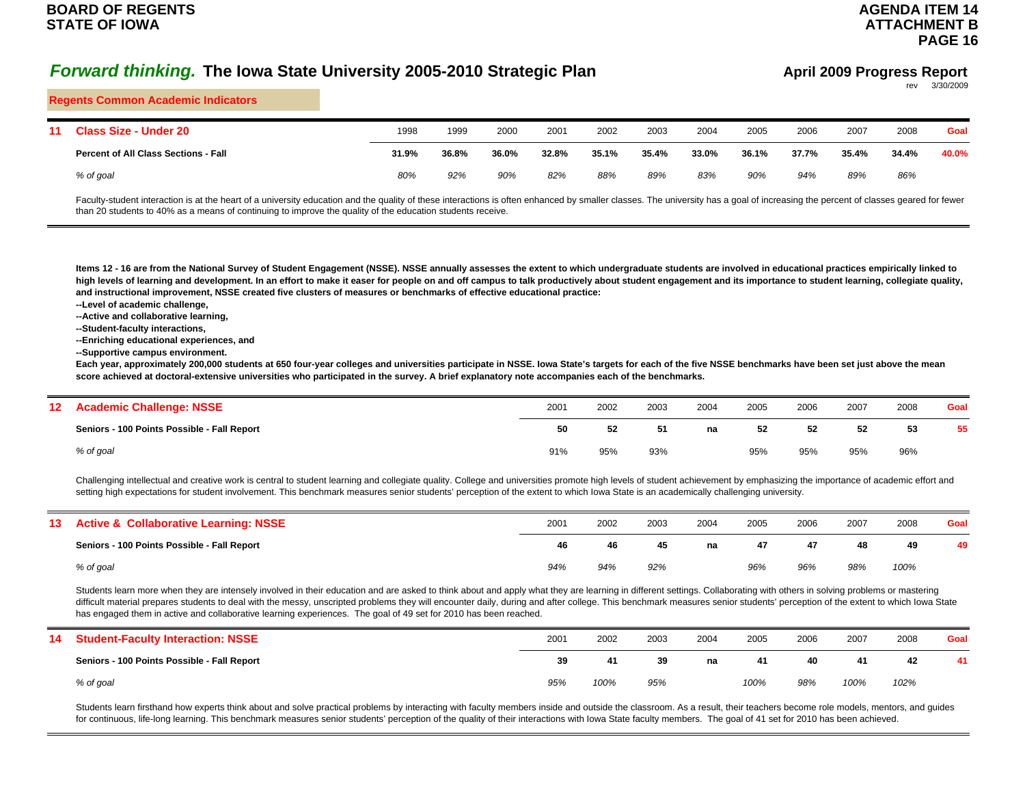## **AGENDA ITEM 14ATTACHMENT BPAGE 16**

#### **April 2009 Progress Report** rev 3/30/2009

#### **Regents Common Academic Indicators**

| 11 Class Size - Under 20                    | 1998  | 1999  | 2000  | 2001  | 2002  | 2003  | 2004  | 2005  | 2006  | 2007  | 2008  | Goal  |
|---------------------------------------------|-------|-------|-------|-------|-------|-------|-------|-------|-------|-------|-------|-------|
| <b>Percent of All Class Sections - Fall</b> | 31.9% | 36.8% | 36.0% | 32.8% | 35.1% | 35.4% | 33.0% | 36.1% | 37.7% | 35.4% | 34.4% | 40.0% |
| % of goal                                   | 80%   | 92%   | 90%   | 82%   | 88%   | 89%   | 83%   | 90%   | 94%   | 89%   | 86%   |       |

Faculty-student interaction is at the heart of a university education and the quality of these interactions is often enhanced by smaller classes. The university has a goal of increasing the percent of classes geared for fe than 20 students to 40% as a means of continuing to improve the quality of the education students receive.

**Items 12 - 16 are from the National Survey of Student Engagement (NSSE). NSSE annually assesses the extent to which undergraduate students are involved in educational practices empirically linked to**  high levels of learning and development. In an effort to make it easer for people on and off campus to talk productively about student engagement and its importance to student learning, collegiate quality, **and instructional improvement, NSSE created five clusters of measures or benchmarks of effective educational practice:**

**--Level of academic challenge,**

**--Active and collaborative learning,**

**--Student-faculty interactions,**

**--Enriching educational experiences, and**

**--Supportive campus environment.**

**Each year, approximately 200,000 students at 650 four-year colleges and universities participate in NSSE. Iowa State's targets for each of the five NSSE benchmarks have been set just above the mean score achieved at doctoral-extensive universities who participated in the survey. A brief explanatory note accompanies each of the benchmarks.**

| 12 <sup>°</sup> | <b>Academic Challenge: NSSE</b>             | 2001 | 2002 | 2003 | 2004 | 2005 | 2006 | 2007 | 2008 | Goal |
|-----------------|---------------------------------------------|------|------|------|------|------|------|------|------|------|
|                 | Seniors - 100 Points Possible - Fall Report | 50   | 52   | -51  | na   | 52   | 52   | 52   | 53   | 55   |
|                 | % of goal                                   | 91%  | 95%  | 93%  |      | 95%  | 95%  | 95%  | 96%  |      |

Challenging intellectual and creative work is central to student learning and collegiate quality. College and universities promote high levels of student achievement by emphasizing the importance of academic effort and setting high expectations for student involvement. This benchmark measures senior students' perception of the extent to which Iowa State is an academically challenging university.

| 13 <sup>7</sup> | <b>Active &amp; Collaborative Learning: NSSE</b> | 2001 | 2002 | 2003 | 2004 | 2005 | 2006 | 2007 | 2008 | Goal |
|-----------------|--------------------------------------------------|------|------|------|------|------|------|------|------|------|
|                 | Seniors - 100 Points Possible - Fall Report      | 46   | 46   | 45   | na   | 47   | 47   | 48   | 49   | 49   |
|                 | % of goal                                        | 94%  | 94%  | 92%  |      | 96%  | 96%  | 98%  | 100% |      |

Students learn more when they are intensely involved in their education and are asked to think about and apply what they are learning in different settings. Collaborating with others in solving problems or mastering difficult material prepares students to deal with the messy, unscripted problems they will encounter daily, during and after college. This benchmark measures senior students' perception of the extent to which Iowa State has engaged them in active and collaborative learning experiences. The goal of 49 set for 2010 has been reached.

| 14 | <b>Student-Faculty Interaction: NSSE</b>    | 2001 | 2002 | 2003 | 2004 | 2005 | 2006 | 2007 | 2008 | Goal |
|----|---------------------------------------------|------|------|------|------|------|------|------|------|------|
|    | Seniors - 100 Points Possible - Fall Report | 39   | 41   | 39   | na   | 41   | 40   | 41   | 42   | 41   |
|    | % of goal                                   | 95%  | 100% | 95%  |      | 100% | 98%  | 100% | 102% |      |

Students learn firsthand how experts think about and solve practical problems by interacting with faculty members inside and outside the classroom. As a result, their teachers become role models, mentors, and guides for continuous, life-long learning. This benchmark measures senior students' perception of the quality of their interactions with Iowa State faculty members. The goal of 41 set for 2010 has been achieved.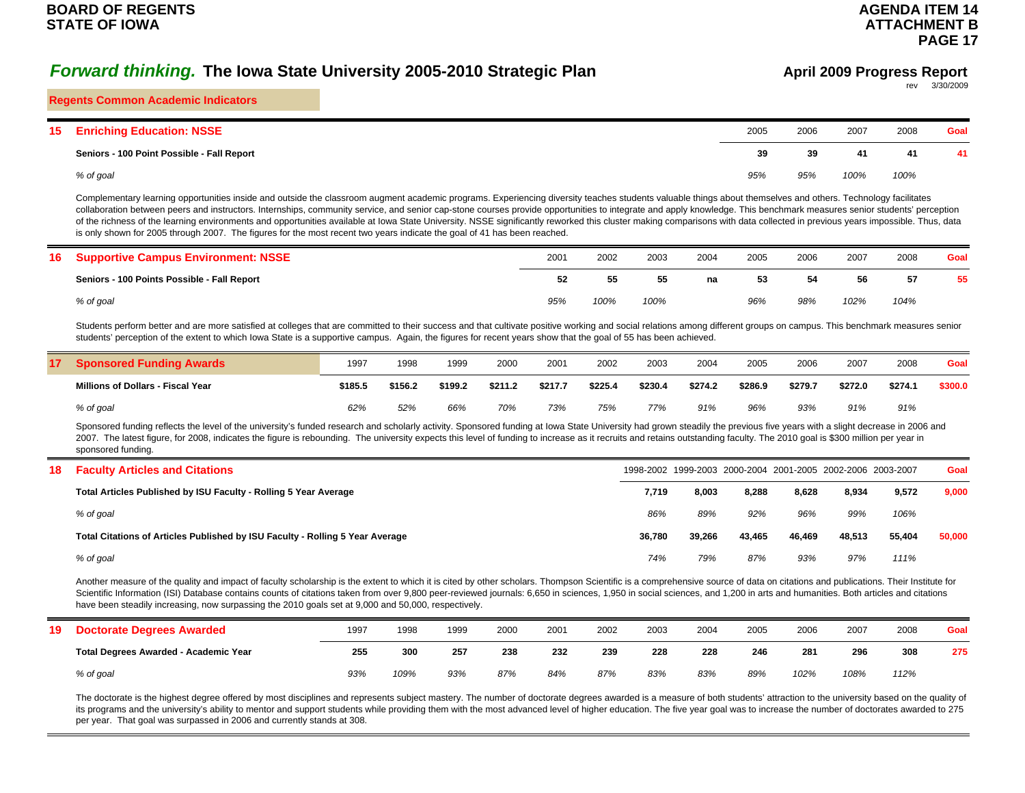#### **Regents Common Academic Indicators**

| 15 | <b>Enriching Education: NSSE</b>           | 2005 | 2006 | 2007 | 2008 | Goal |
|----|--------------------------------------------|------|------|------|------|------|
|    | Seniors - 100 Point Possible - Fall Report | 39   | 39   | 41   | 41   | 41   |
|    | % of goal                                  | 95%  | 95%  | 100% | 100% |      |

Complementary learning opportunities inside and outside the classroom augment academic programs. Experiencing diversity teaches students valuable things about themselves and others. Technology facilitates collaboration between peers and instructors. Internships, community service, and senior cap-stone courses provide opportunities to integrate and apply knowledge. This benchmark measures senior students' perception of the richness of the learning environments and opportunities available at Iowa State University. NSSE significantly reworked this cluster making comparisons with data collected in previous years impossible. Thus, data is only shown for 2005 through 2007. The figures for the most recent two years indicate the goal of 41 has been reached.

| <b>16 Supportive Campus Environment: NSSE</b> | 2001 | 2002 | 2003 | 2004 | 2005 | 2006 | 2007 | 2008 | Goal |
|-----------------------------------------------|------|------|------|------|------|------|------|------|------|
| Seniors - 100 Points Possible - Fall Report   | 52.  | 55   | 55   | na   | 53   | 54   | 56   | 57   | 55   |
| % of goal                                     | 95%  | 100% | 100% |      | 96%  | 98%  | 102% | 104% |      |

Students perform better and are more satisfied at colleges that are committed to their success and that cultivate positive working and social relations among different groups on campus. This benchmark measures senior students' perception of the extent to which Iowa State is a supportive campus. Again, the figures for recent years show that the goal of 55 has been achieved.

| 17 Sponsored Funding Awards              | 1997    | 1998    | 1999    | 2000    | 2001    | 2002    | 2003    | 2004    | 2005    | 2006    | 2007    | 2008    | Goal    |
|------------------------------------------|---------|---------|---------|---------|---------|---------|---------|---------|---------|---------|---------|---------|---------|
| <b>Millions of Dollars - Fiscal Year</b> | \$185.5 | \$156.2 | \$199.2 | \$211.2 | \$217.7 | \$225.4 | \$230.4 | \$274.2 | \$286.9 | \$279.7 | \$272.0 | \$274.1 | \$300.0 |
| % of goal                                | 62%     | 52%     | 66%     | 70%     | 73%     | 75%     | 77%     | 91%     | 96%     | 93%     | 91%     | 91%     |         |

Sponsored funding reflects the level of the university's funded research and scholarly activity. Sponsored funding at Iowa State University had grown steadily the previous five years with a slight decrease in 2006 and 2007. The latest figure, for 2008, indicates the figure is rebounding. The university expects this level of funding to increase as it recruits and retains outstanding faculty. The 2010 goal is \$300 million per year in sponsored funding.

| 18 | <b>Faculty Articles and Citations</b>                                         |        |        |        |        |        | 1998-2002 1999-2003 2000-2004 2001-2005 2002-2006 2003-2007 | Goal   |
|----|-------------------------------------------------------------------------------|--------|--------|--------|--------|--------|-------------------------------------------------------------|--------|
|    | Total Articles Published by ISU Faculty - Rolling 5 Year Average              | 7.719  | 8.003  | 8.288  | 8,628  | 8,934  | 9.572                                                       | 9,000  |
|    | % of goal                                                                     | 86%    | 89%    | 92%    | 96%    | 99%    | 106%                                                        |        |
|    | Total Citations of Articles Published by ISU Faculty - Rolling 5 Year Average | 36.780 | 39.266 | 43.465 | 46.469 | 48,513 | 55.404                                                      | 50.000 |
|    | % of goal                                                                     | 74%    | 79%    | 87%    | 93%    | 97%    | 111%                                                        |        |

Another measure of the quality and impact of faculty scholarship is the extent to which it is cited by other scholars. Thompson Scientific is a comprehensive source of data on citations and publications. Their Institute fo Scientific Information (ISI) Database contains counts of citations taken from over 9,800 peer-reviewed journals: 6,650 in sciences, 1,950 in social sciences, and 1,200 in arts and humanities. Both articles and citations have been steadily increasing, now surpassing the 2010 goals set at 9,000 and 50,000, respectively.

| 19 | <b>Doctorate Degrees Awarded</b>      | 1997 | 1998 | 1999 | 2000 | 2001 | 2002 | 2003 | 2004 | 2005 | 2006 | 2007 | 2008 | Goal |
|----|---------------------------------------|------|------|------|------|------|------|------|------|------|------|------|------|------|
|    | Total Degrees Awarded - Academic Year | 255  | 300  | 257  | 238  | 232  | 239  | 228  | 228  | 246  | 281  | 296  | 308  | 275  |
|    | % of goal                             | 93%  | 109% | 93%  | 87%  | 84%  | 87%  | 83%  | 83%  | 89%  | 102% | 108% | 112% |      |

The doctorate is the highest degree offered by most disciplines and represents subject mastery. The number of doctorate degrees awarded is a measure of both students' attraction to the university based on the quality of its programs and the university's ability to mentor and support students while providing them with the most advanced level of higher education. The five year goal was to increase the number of doctorates awarded to 275 per year. That goal was surpassed in 2006 and currently stands at 308.

## **April 2009 Progress Report**

rev 3/30/2009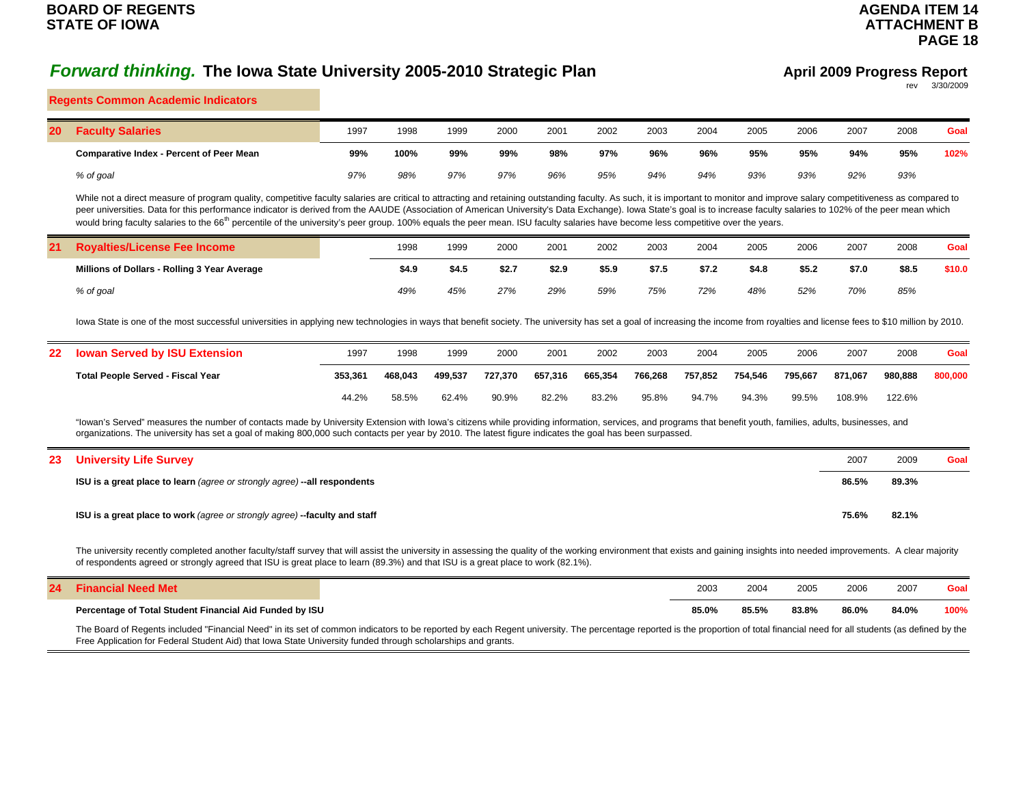## **AGENDA ITEM 14ATTACHMENT BPAGE 18**

#### **April 2009 Progress Report** rev 3/30/2009

#### **Regents Common Academic Indicators**

| <b>20 Faculty Salaries</b>                      | 1997 | 1998 | 1999 | 2000 | 2001 | 2002 | 2003 | 2004 | 2005 | 2006 | 2007 | 2008 | Goal |
|-------------------------------------------------|------|------|------|------|------|------|------|------|------|------|------|------|------|
| <b>Comparative Index - Percent of Peer Mean</b> | 99%  | 100% | 99%  | 99%  | 98%  | 97%  | 96%  | 96%  | 95%  | 95%  | 94%  | 95%  | 102% |
| % of goal                                       | 97%  | 98%  | 97%  | 97%  | 96%  | 95%  | 94%  | 94%  | 93%  | 93%  | 92%  | 93%  |      |

While not a direct measure of program quality, competitive faculty salaries are critical to attracting and retaining outstanding faculty. As such, it is important to monitor and improve salary competitiveness as compared t peer universities. Data for this performance indicator is derived from the AAUDE (Association of American University's Data Exchange). Iowa State's goal is to increase faculty salaries to 102% of the peer mean which would bring faculty salaries to the 66<sup>th</sup> percentile of the university's peer group. 100% equals the peer mean. ISU faculty salaries have become less competitive over the years.

| 21 Royalties/License Fee Income              | 1998  | 1999  | 2000  | 2001  | 2002  | 2003  | 2004  | 2005  | 2006  | 2007  | 2008  | Goal   |
|----------------------------------------------|-------|-------|-------|-------|-------|-------|-------|-------|-------|-------|-------|--------|
| Millions of Dollars - Rolling 3 Year Average | \$4.9 | \$4.5 | \$2.7 | \$2.9 | \$5.9 | \$7.5 | \$7.2 | \$4.8 | \$5.2 | \$7.0 | \$8.5 | \$10.0 |
| % of goal                                    | 49%   | 45%   | 27%   | 29%   | 59%   | 75%   | 72%   | 48%   | 52%   | 70%   | 85%   |        |

Iowa State is one of the most successful universities in applying new technologies in ways that benefit society. The university has set a goal of increasing the income from royalties and license fees to \$10 million by 2010

| 22 Iowan Served by ISU Extension         | 1997    | 1998    | 1999    | 2000    | 2001    | 2002    | 2003    | 2004    | 2005    | 2006    | 2007    | 2008    | Goal    |
|------------------------------------------|---------|---------|---------|---------|---------|---------|---------|---------|---------|---------|---------|---------|---------|
| <b>Total People Served - Fiscal Year</b> | 353.361 | 468.043 | 499.537 | 727.370 | 657.316 | 665.354 | 766.268 | 757.852 | 754.546 | 795.667 | 871.067 | 980.888 | 800.000 |
|                                          | 44.2%   | 58.5%   | 62.4%   | 90.9%   | 82.2%   | 83.2%   | 95.8%   | 94.7%   | 94.3%   | 99.5%   | 108.9%  | 122.6%  |         |

"Iowan's Served" measures the number of contacts made by University Extension with Iowa's citizens while providing information, services, and programs that benefit youth, families, adults, businesses, and organizations. The university has set a goal of making 800,000 such contacts per year by 2010. The latest figure indicates the goal has been surpassed.

| 23 University Life Survey                                                 | 2007  | 2009  | Goal |
|---------------------------------------------------------------------------|-------|-------|------|
| ISU is a great place to learn (agree or strongly agree) --all respondents | 86.5% | 89.3% |      |
| ISU is a great place to work (agree or strongly agree)-faculty and staff  | 75.6% | 82.1% |      |

The university recently completed another faculty/staff survey that will assist the university in assessing the quality of the working environment that exists and gaining insights into needed improvements. A clear majority of respondents agreed or strongly agreed that ISU is great place to learn (89.3%) and that ISU is a great place to work (82.1%).

| 24<br>-- | <b>Financial Need Met</b>                               | 2003  | 2004  | 2005  | 2006  | 2007  | Goal |
|----------|---------------------------------------------------------|-------|-------|-------|-------|-------|------|
|          | Percentage of Total Student Financial Aid Funded by ISU | 85.0% | 85.5% | 83.8% | 86.0% | 84.0% | 100% |

The Board of Regents included "Financial Need" in its set of common indicators to be reported by each Regent university. The percentage reported is the proportion of total financial need for all students (as defined by the Free Application for Federal Student Aid) that Iowa State University funded through scholarships and grants.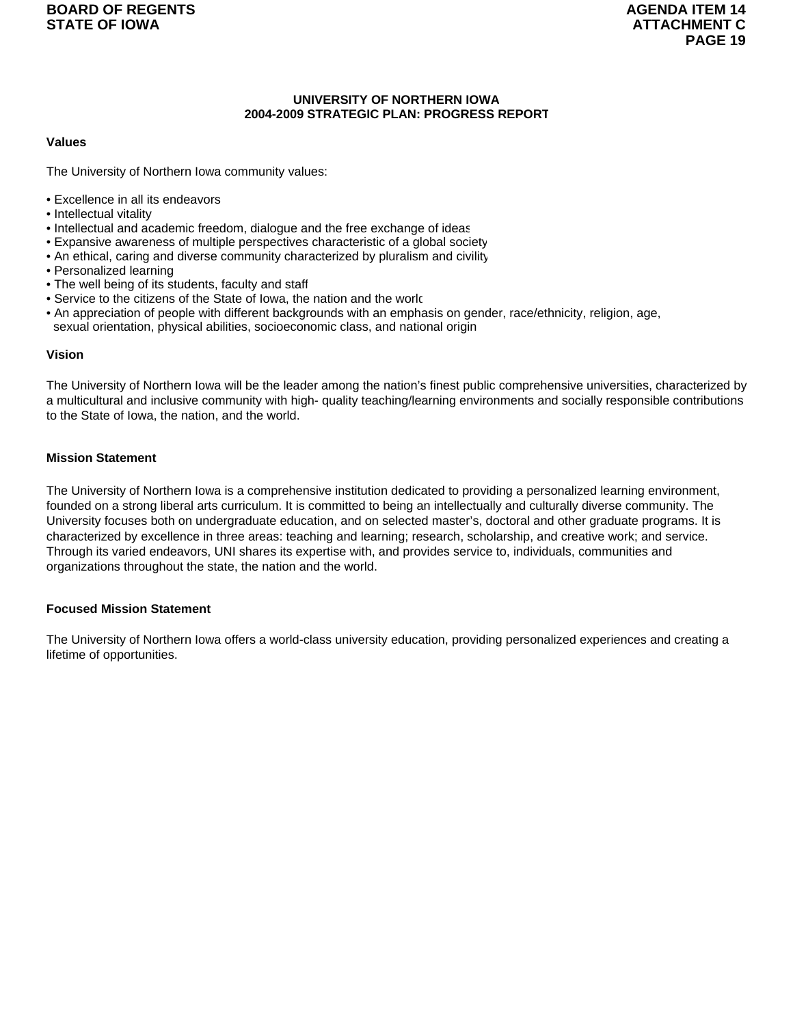### **UNIVERSITY OF NORTHERN IOWA 2004-2009 STRATEGIC PLAN: PROGRESS REPORT**

### **Values**

The University of Northern Iowa community values:

- Excellence in all its endeavors
- Intellectual vitality
- Intellectual and academic freedom, dialogue and the free exchange of ideas
- Expansive awareness of multiple perspectives characteristic of a global society
- An ethical, caring and diverse community characterized by pluralism and civility
- Personalized learning
- The well being of its students, faculty and staff
- Service to the citizens of the State of Iowa, the nation and the world
- An appreciation of people with different backgrounds with an emphasis on gender, race/ethnicity, religion, age, sexual orientation, physical abilities, socioeconomic class, and national origin

### **Vision**

The University of Northern Iowa will be the leader among the nation's finest public comprehensive universities, characterized by a multicultural and inclusive community with high- quality teaching/learning environments and socially responsible contributions to the State of Iowa, the nation, and the world.

### **Mission Statement**

The University of Northern Iowa is a comprehensive institution dedicated to providing a personalized learning environment, founded on a strong liberal arts curriculum. It is committed to being an intellectually and culturally diverse community. The University focuses both on undergraduate education, and on selected master's, doctoral and other graduate programs. It is characterized by excellence in three areas: teaching and learning; research, scholarship, and creative work; and service. Through its varied endeavors, UNI shares its expertise with, and provides service to, individuals, communities and organizations throughout the state, the nation and the world.

### **Focused Mission Statement**

The University of Northern Iowa offers a world-class university education, providing personalized experiences and creating a lifetime of opportunities.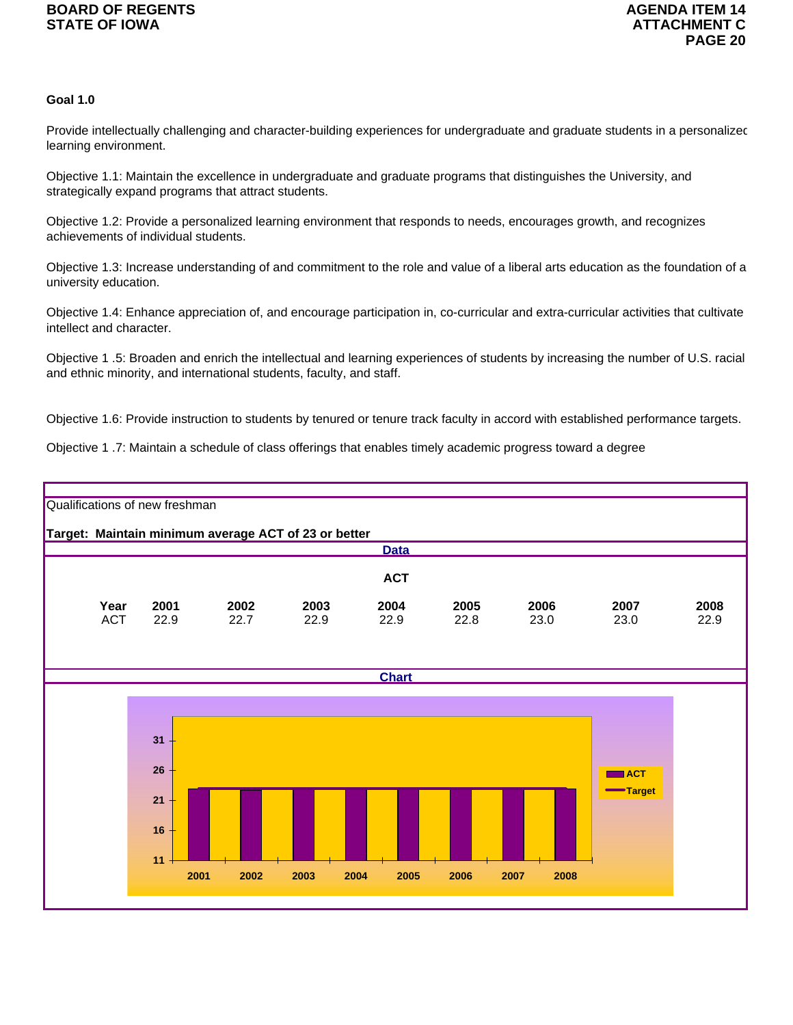## **Goal 1.0**

Provide intellectually challenging and character-building experiences for undergraduate and graduate students in a personalizec learning environment.

Objective 1.1: Maintain the excellence in undergraduate and graduate programs that distinguishes the University, and strategically expand programs that attract students.

Objective 1.2: Provide a personalized learning environment that responds to needs, encourages growth, and recognizes achievements of individual students.

Objective 1.3: Increase understanding of and commitment to the role and value of a liberal arts education as the foundation of a university education.

Objective 1.4: Enhance appreciation of, and encourage participation in, co-curricular and extra-curricular activities that cultivate intellect and character.

Objective 1 .5: Broaden and enrich the intellectual and learning experiences of students by increasing the number of U.S. racial and ethnic minority, and international students, faculty, and staff.

Objective 1.6: Provide instruction to students by tenured or tenure track faculty in accord with established performance targets.

Objective 1 .7: Maintain a schedule of class offerings that enables timely academic progress toward a degree

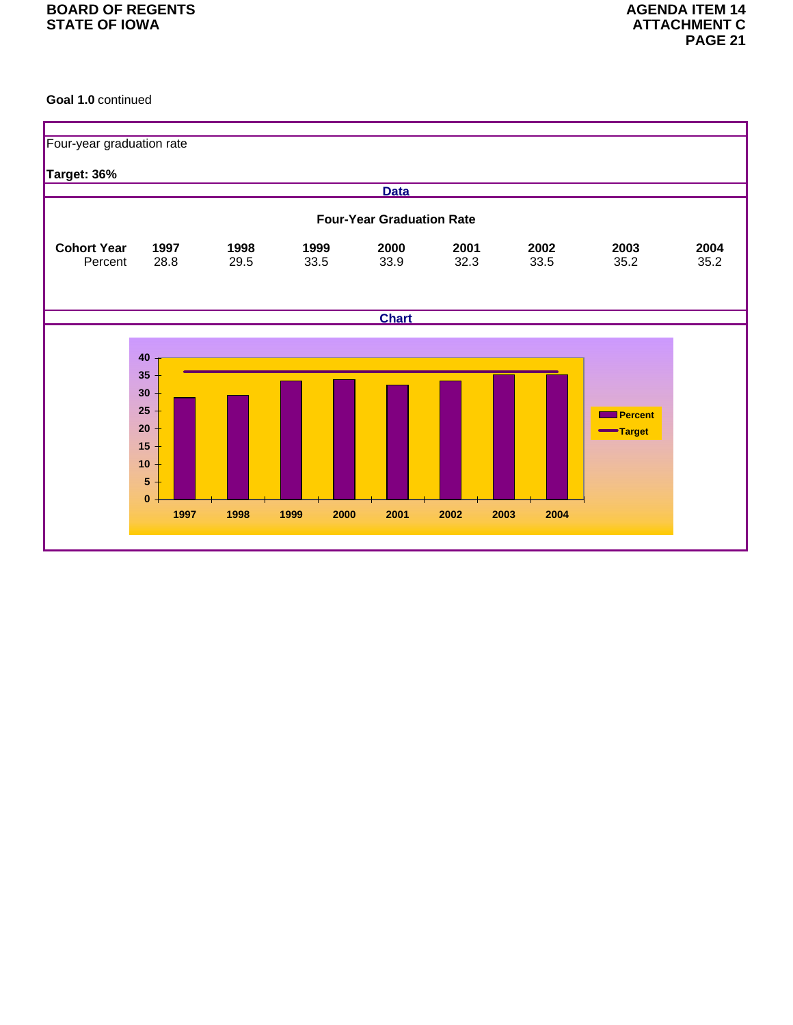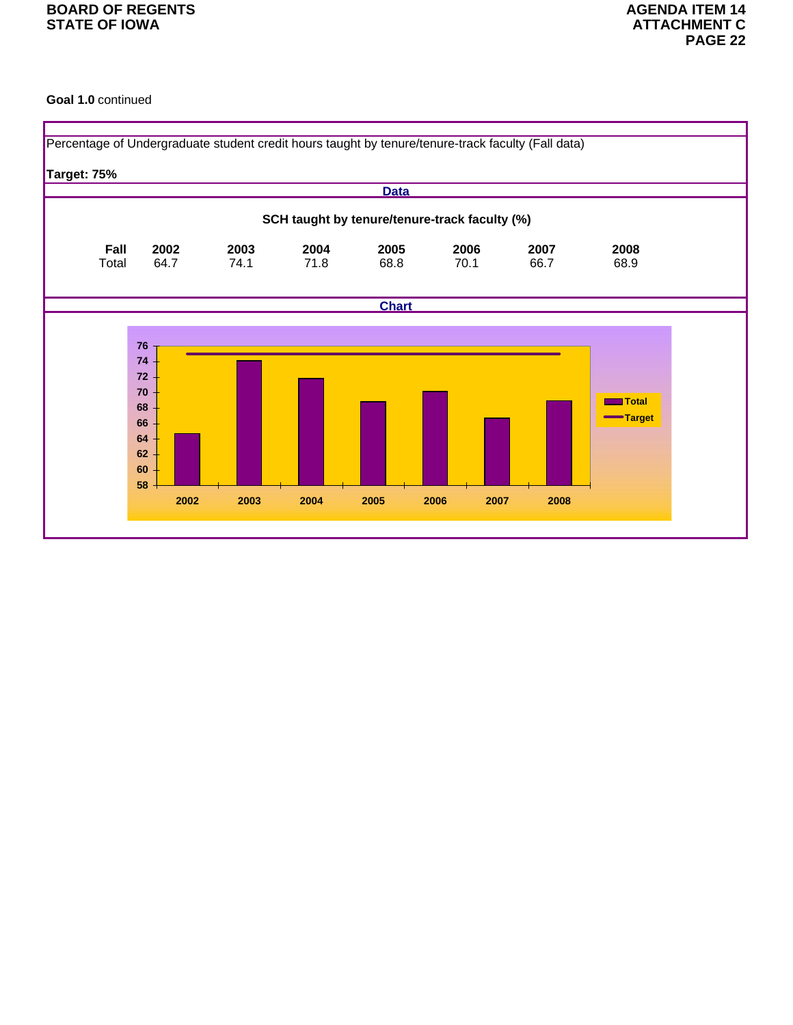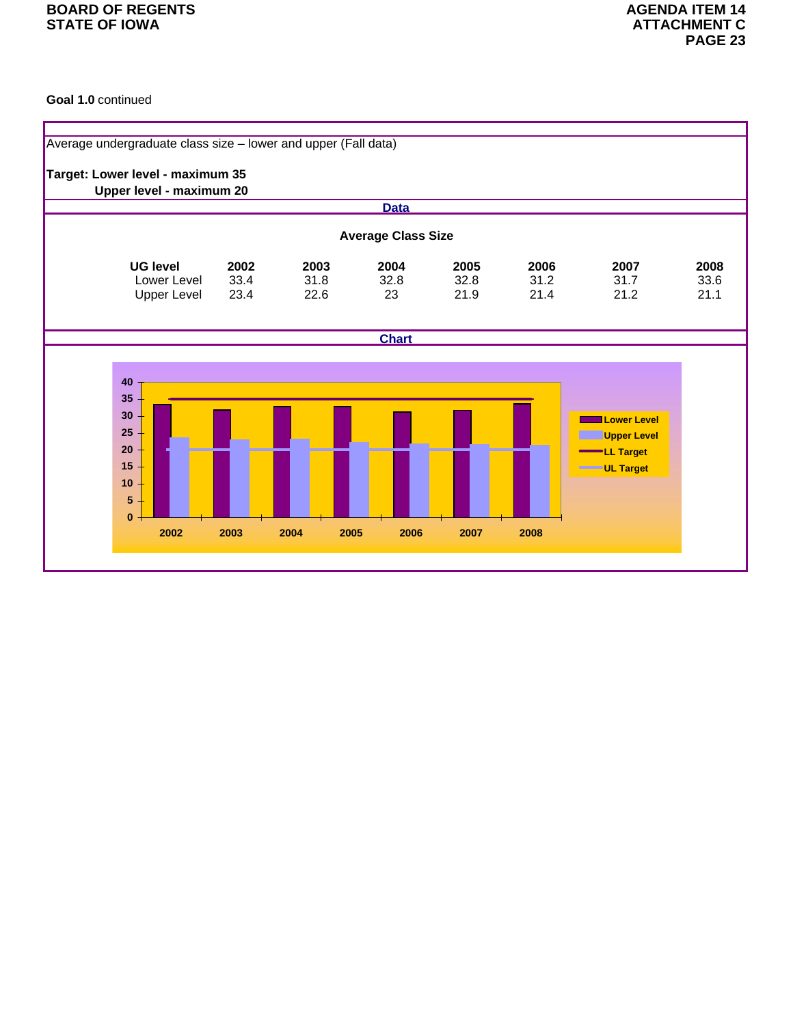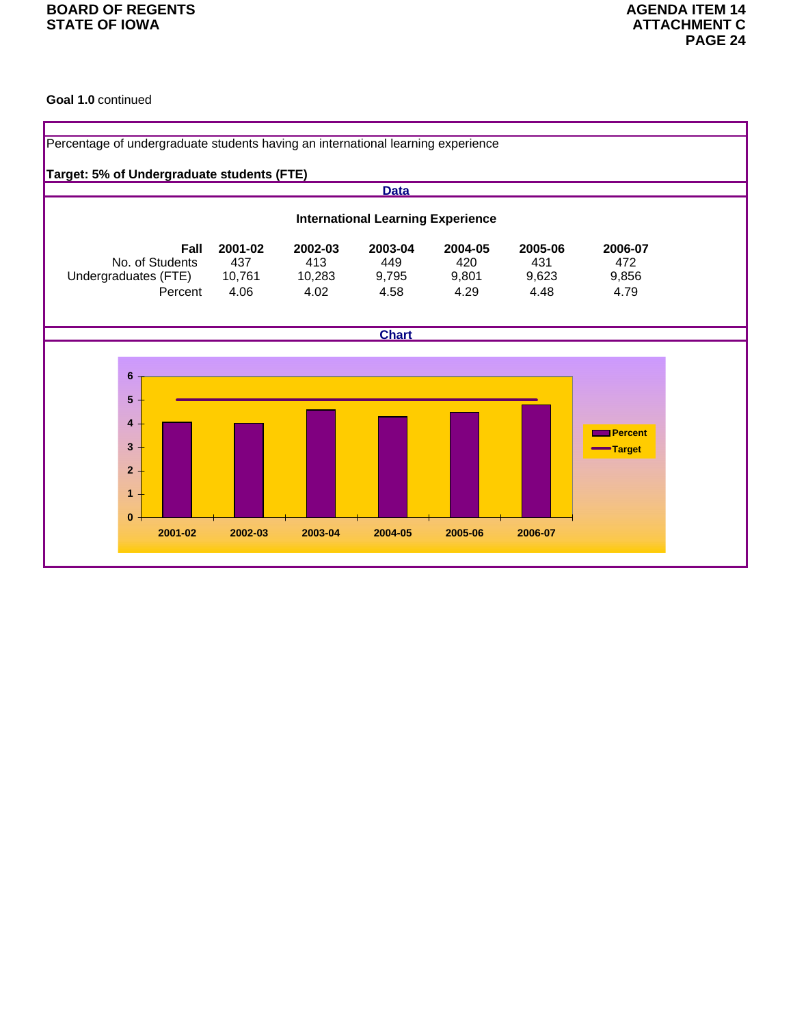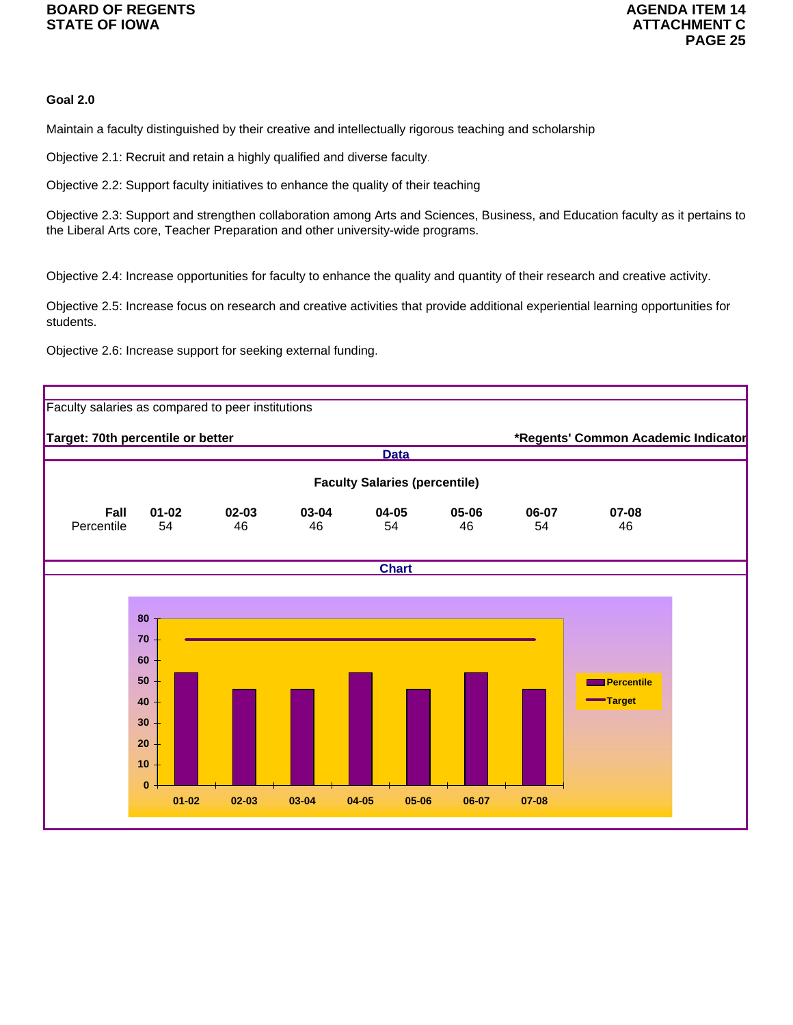## **Goal 2.0**

Maintain a faculty distinguished by their creative and intellectually rigorous teaching and scholarship

Objective 2.1: Recruit and retain a highly qualified and diverse faculty.

Objective 2.2: Support faculty initiatives to enhance the quality of their teaching

Objective 2.3: Support and strengthen collaboration among Arts and Sciences, Business, and Education faculty as it pertains to the Liberal Arts core, Teacher Preparation and other university-wide programs.

Objective 2.4: Increase opportunities for faculty to enhance the quality and quantity of their research and creative activity.

Objective 2.5: Increase focus on research and creative activities that provide additional experiential learning opportunities for students.

Objective 2.6: Increase support for seeking external funding.

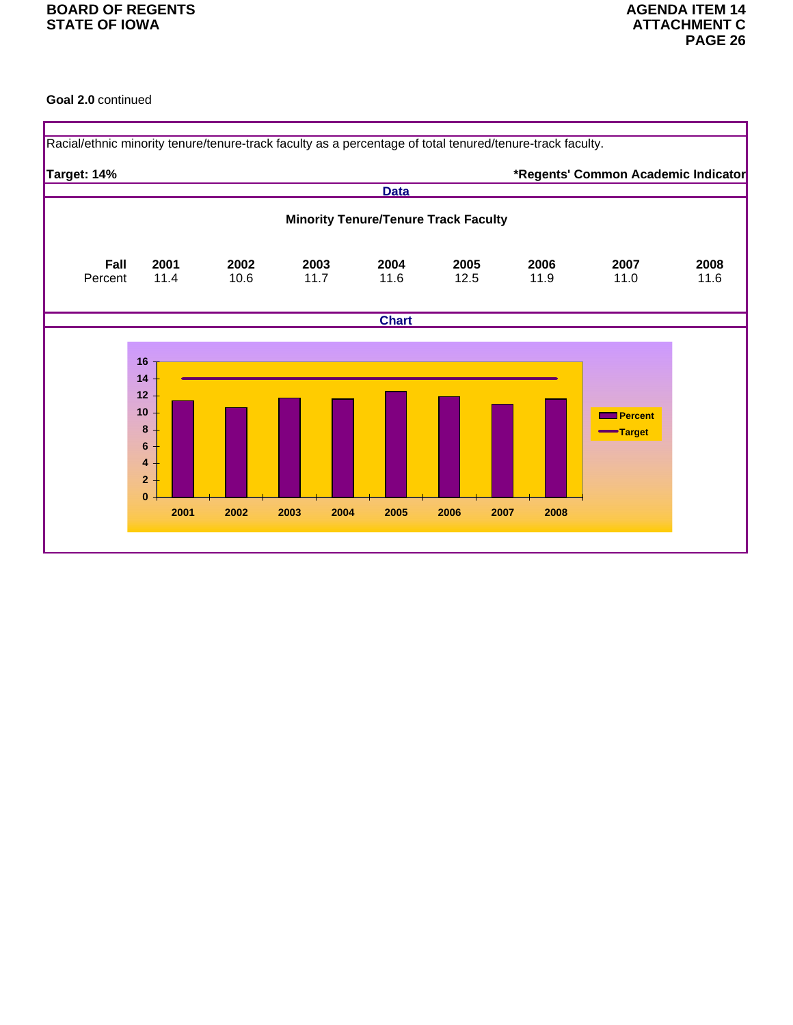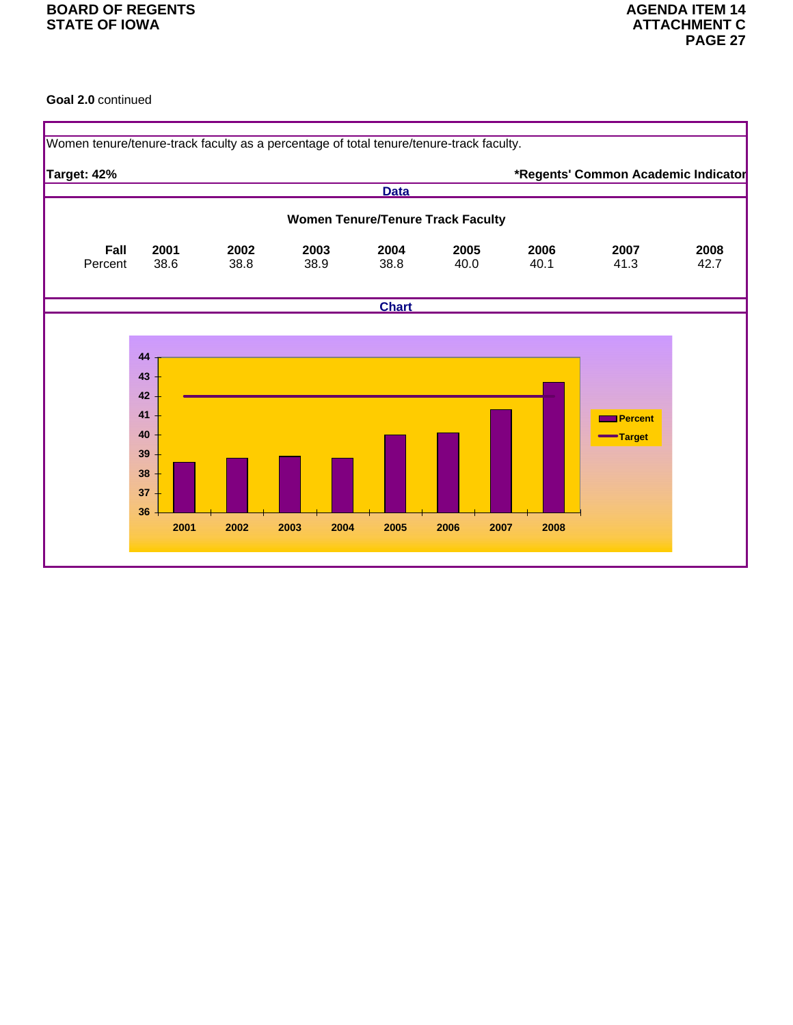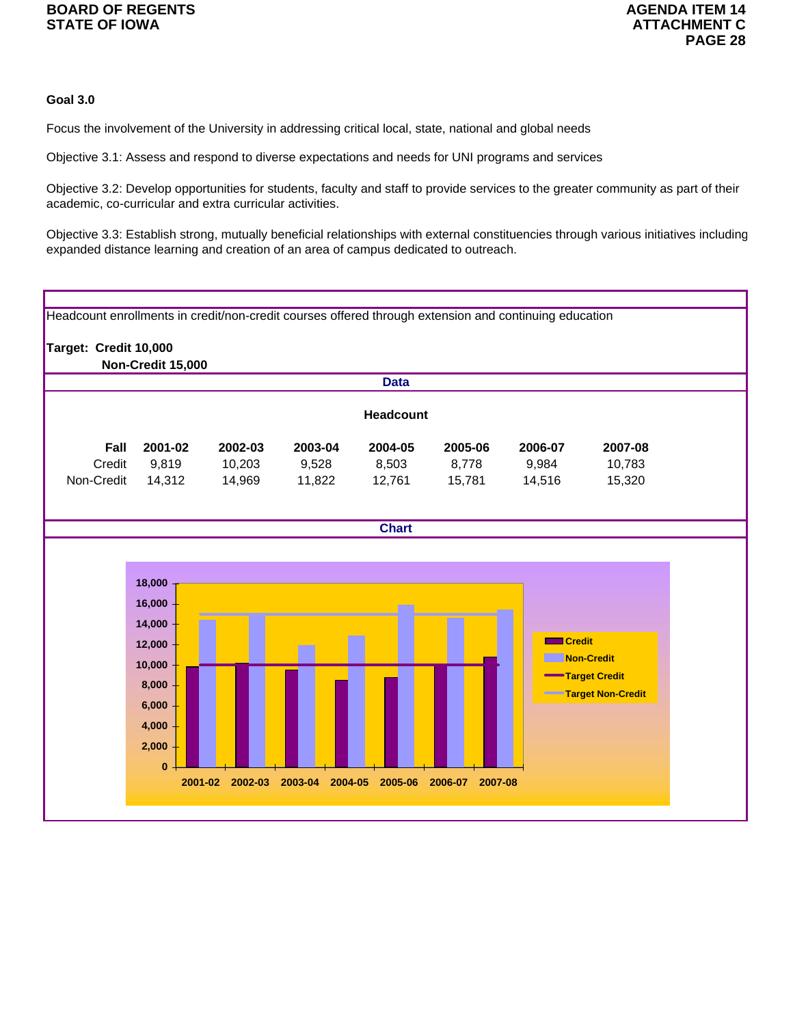## **Goal 3.0**

Focus the involvement of the University in addressing critical local, state, national and global needs

Objective 3.1: Assess and respond to diverse expectations and needs for UNI programs and services

Objective 3.2: Develop opportunities for students, faculty and staff to provide services to the greater community as part of their academic, co-curricular and extra curricular activities.

Objective 3.3: Establish strong, mutually beneficial relationships with external constituencies through various initiatives including expanded distance learning and creation of an area of campus dedicated to outreach.

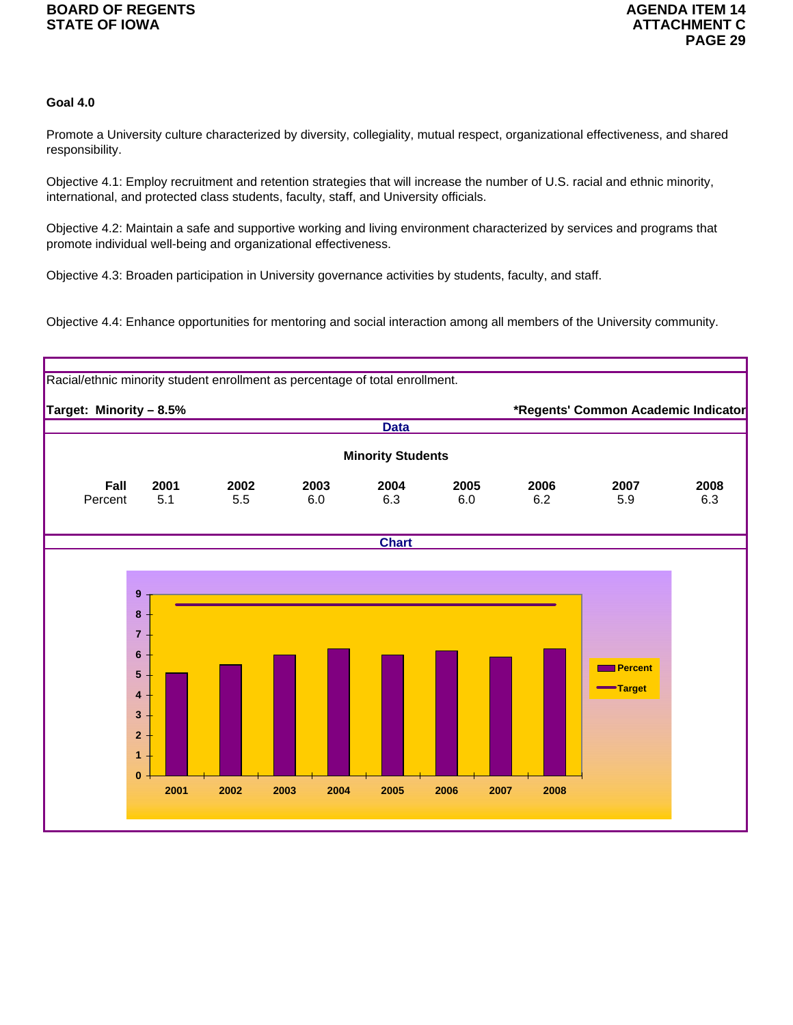## **Goal 4.0**

Promote a University culture characterized by diversity, collegiality, mutual respect, organizational effectiveness, and shared responsibility.

Objective 4.1: Employ recruitment and retention strategies that will increase the number of U.S. racial and ethnic minority, international, and protected class students, faculty, staff, and University officials.

Objective 4.2: Maintain a safe and supportive working and living environment characterized by services and programs that promote individual well-being and organizational effectiveness.

Objective 4.3: Broaden participation in University governance activities by students, faculty, and staff.

Objective 4.4: Enhance opportunities for mentoring and social interaction among all members of the University community.

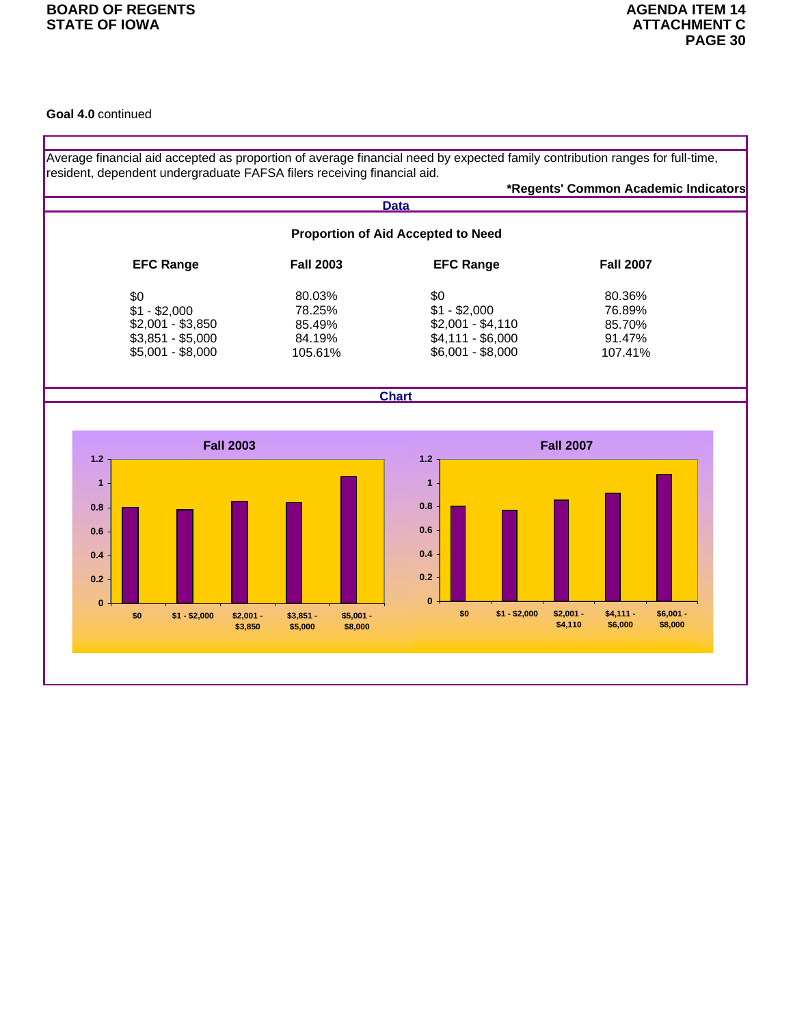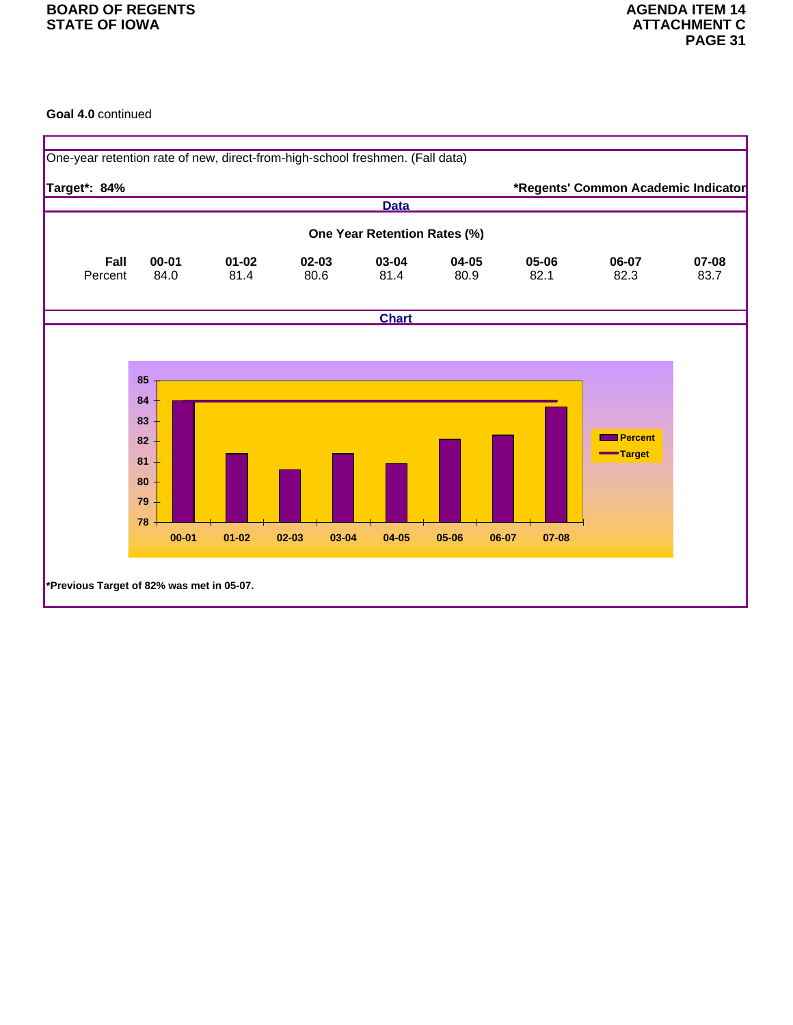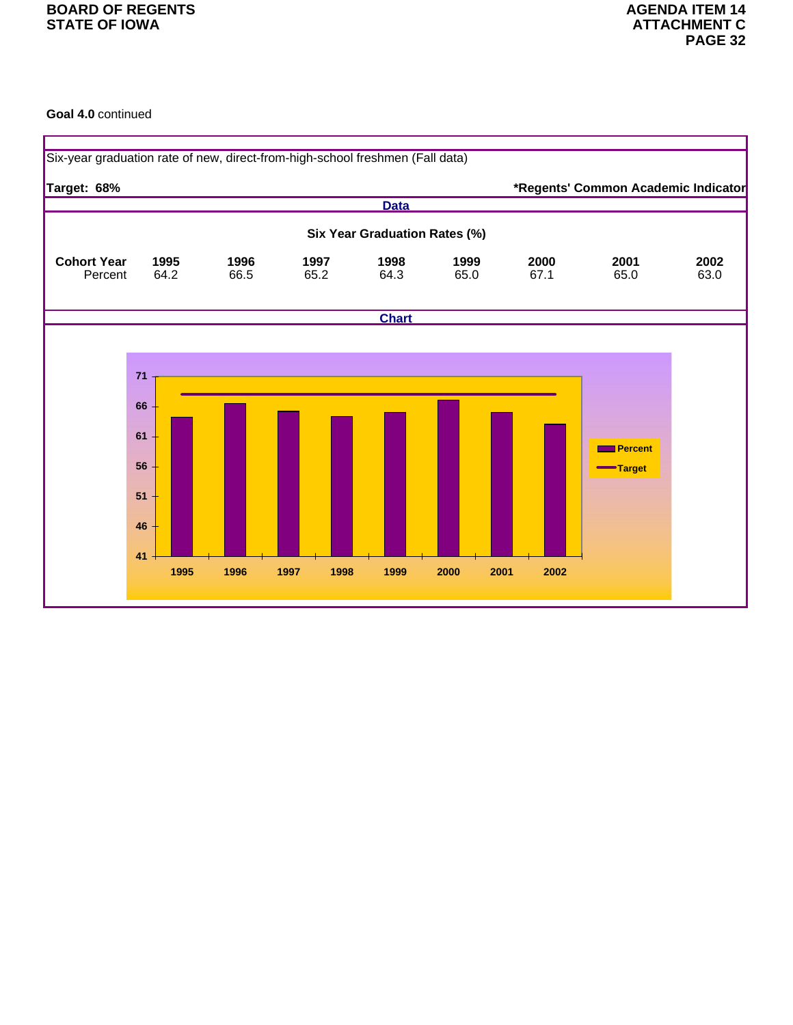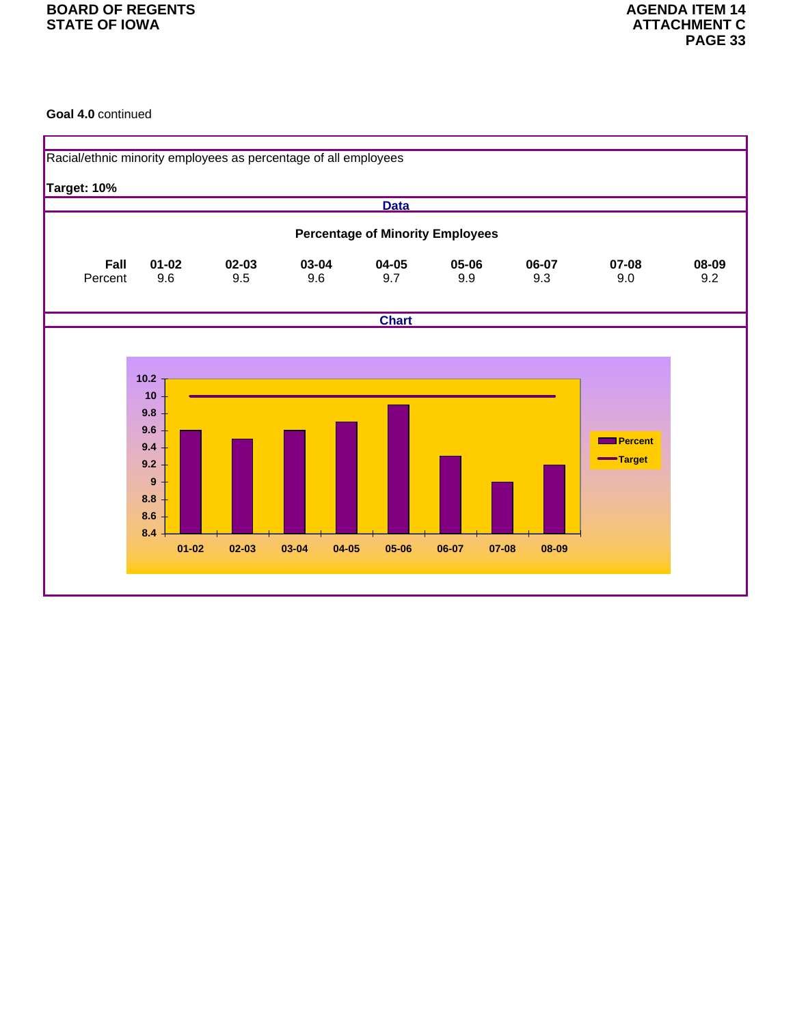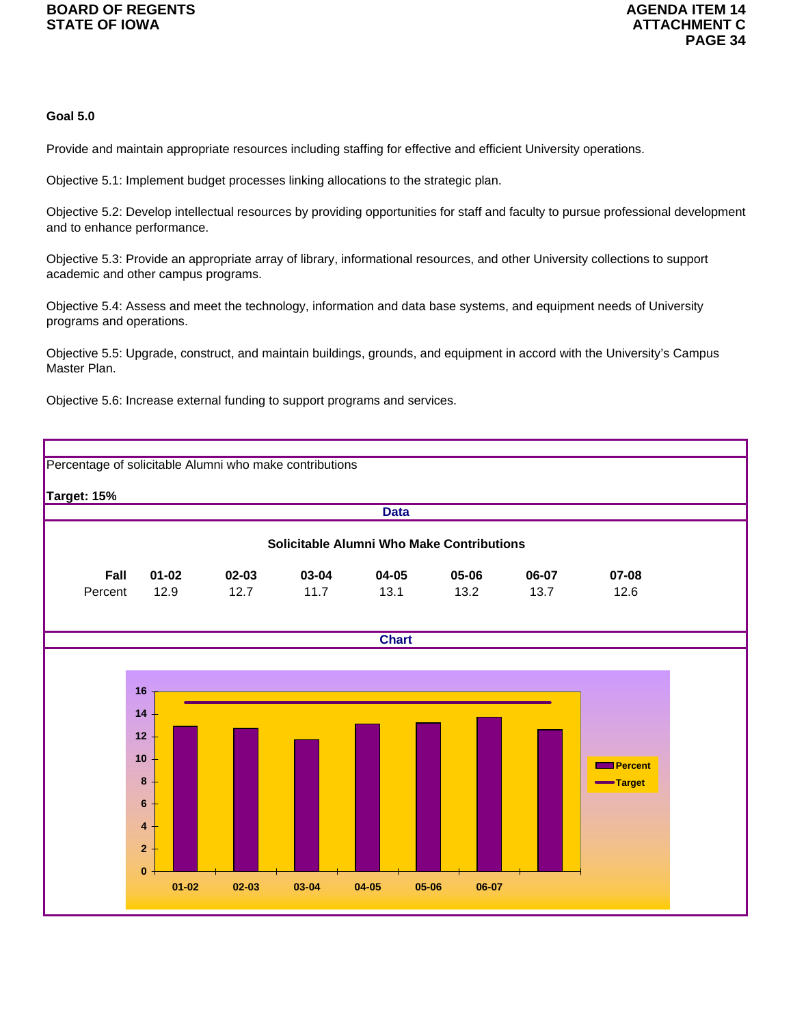## **Goal 5.0**

Provide and maintain appropriate resources including staffing for effective and efficient University operations.

Objective 5.1: Implement budget processes linking allocations to the strategic plan.

Objective 5.2: Develop intellectual resources by providing opportunities for staff and faculty to pursue professional development and to enhance performance.

Objective 5.3: Provide an appropriate array of library, informational resources, and other University collections to support academic and other campus programs.

Objective 5.4: Assess and meet the technology, information and data base systems, and equipment needs of University programs and operations.

Objective 5.5: Upgrade, construct, and maintain buildings, grounds, and equipment in accord with the University's Campus Master Plan.

Objective 5.6: Increase external funding to support programs and services.